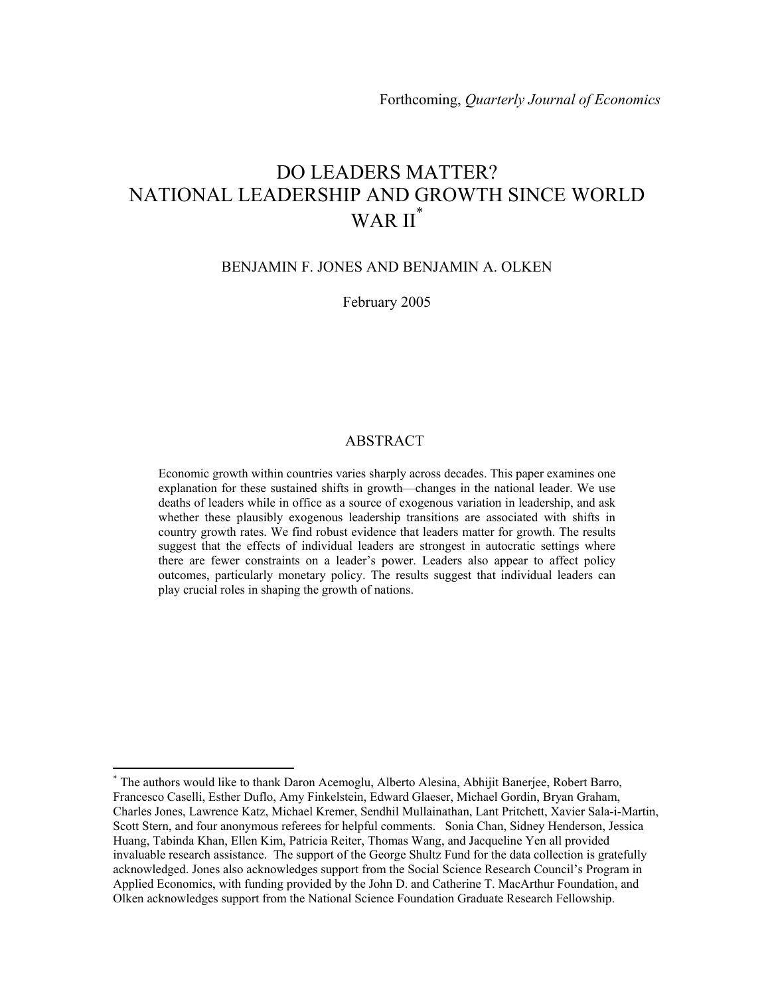# DO LEADERS MATTER? NATIONAL LEADERSHIP AND GROWTH SINCE WORLD WAR II<sup>\*</sup>

### BENJAMIN F. JONES AND BENJAMIN A. OLKEN

February 2005

### ABSTRACT

Economic growth within countries varies sharply across decades. This paper examines one explanation for these sustained shifts in growth—changes in the national leader. We use deaths of leaders while in office as a source of exogenous variation in leadership, and ask whether these plausibly exogenous leadership transitions are associated with shifts in country growth rates. We find robust evidence that leaders matter for growth. The results suggest that the effects of individual leaders are strongest in autocratic settings where there are fewer constraints on a leader's power. Leaders also appear to affect policy outcomes, particularly monetary policy. The results suggest that individual leaders can play crucial roles in shaping the growth of nations.

 $\overline{a}$ 

<sup>\*</sup> The authors would like to thank Daron Acemoglu, Alberto Alesina, Abhijit Banerjee, Robert Barro, Francesco Caselli, Esther Duflo, Amy Finkelstein, Edward Glaeser, Michael Gordin, Bryan Graham, Charles Jones, Lawrence Katz, Michael Kremer, Sendhil Mullainathan, Lant Pritchett, Xavier Sala-i-Martin, Scott Stern, and four anonymous referees for helpful comments. Sonia Chan, Sidney Henderson, Jessica Huang, Tabinda Khan, Ellen Kim, Patricia Reiter, Thomas Wang, and Jacqueline Yen all provided invaluable research assistance. The support of the George Shultz Fund for the data collection is gratefully acknowledged. Jones also acknowledges support from the Social Science Research Council's Program in Applied Economics, with funding provided by the John D. and Catherine T. MacArthur Foundation, and Olken acknowledges support from the National Science Foundation Graduate Research Fellowship.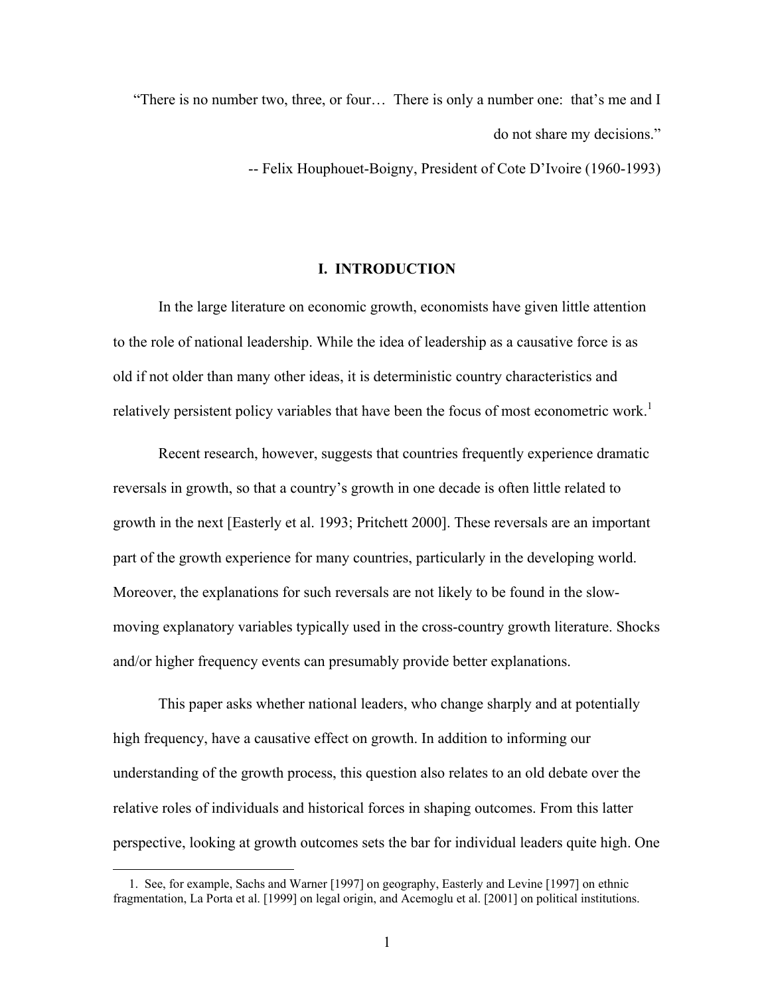"There is no number two, three, or four… There is only a number one: that's me and I do not share my decisions."

-- Felix Houphouet-Boigny, President of Cote D'Ivoire (1960-1993)

### **I. INTRODUCTION**

 In the large literature on economic growth, economists have given little attention to the role of national leadership. While the idea of leadership as a causative force is as old if not older than many other ideas, it is deterministic country characteristics and relatively persistent policy variables that have been the focus of most econometric work.<sup>1</sup>

 Recent research, however, suggests that countries frequently experience dramatic reversals in growth, so that a country's growth in one decade is often little related to growth in the next [Easterly et al. 1993; Pritchett 2000]. These reversals are an important part of the growth experience for many countries, particularly in the developing world. Moreover, the explanations for such reversals are not likely to be found in the slowmoving explanatory variables typically used in the cross-country growth literature. Shocks and/or higher frequency events can presumably provide better explanations.

 This paper asks whether national leaders, who change sharply and at potentially high frequency, have a causative effect on growth. In addition to informing our understanding of the growth process, this question also relates to an old debate over the relative roles of individuals and historical forces in shaping outcomes. From this latter perspective, looking at growth outcomes sets the bar for individual leaders quite high. One

 <sup>1.</sup> See, for example, Sachs and Warner [1997] on geography, Easterly and Levine [1997] on ethnic fragmentation, La Porta et al. [1999] on legal origin, and Acemoglu et al. [2001] on political institutions.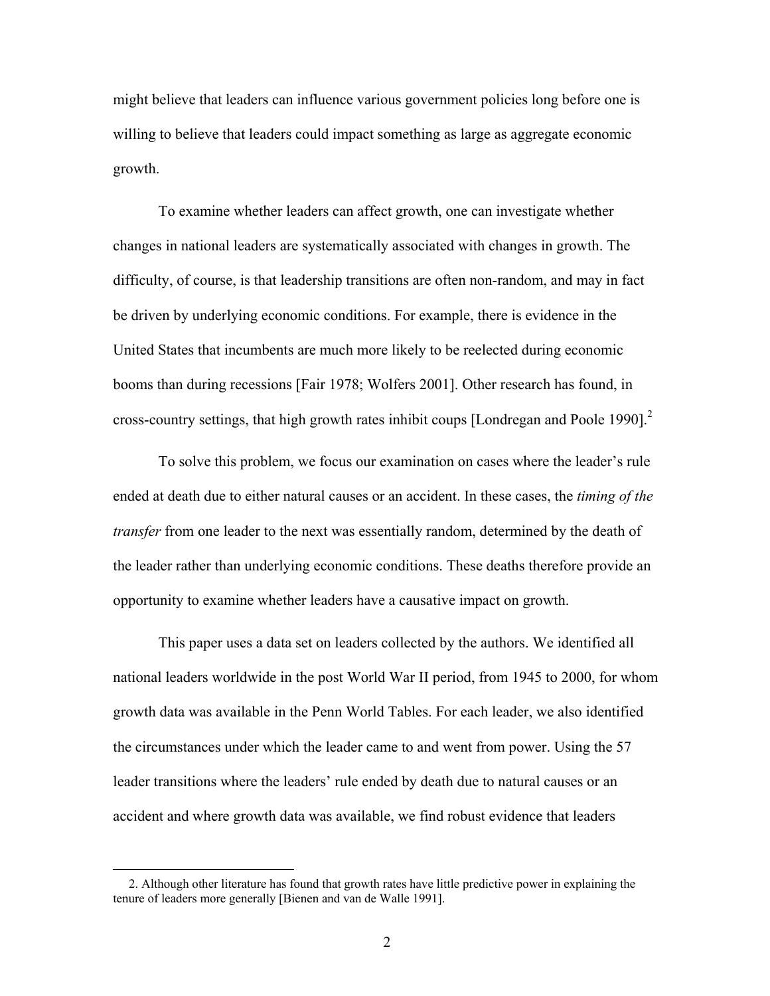might believe that leaders can influence various government policies long before one is willing to believe that leaders could impact something as large as aggregate economic growth.

 To examine whether leaders can affect growth, one can investigate whether changes in national leaders are systematically associated with changes in growth. The difficulty, of course, is that leadership transitions are often non-random, and may in fact be driven by underlying economic conditions. For example, there is evidence in the United States that incumbents are much more likely to be reelected during economic booms than during recessions [Fair 1978; Wolfers 2001]. Other research has found, in cross-country settings, that high growth rates inhibit coups [Londregan and Poole 1990].<sup>2</sup>

 To solve this problem, we focus our examination on cases where the leader's rule ended at death due to either natural causes or an accident. In these cases, the *timing of the transfer* from one leader to the next was essentially random, determined by the death of the leader rather than underlying economic conditions. These deaths therefore provide an opportunity to examine whether leaders have a causative impact on growth.

 This paper uses a data set on leaders collected by the authors. We identified all national leaders worldwide in the post World War II period, from 1945 to 2000, for whom growth data was available in the Penn World Tables. For each leader, we also identified the circumstances under which the leader came to and went from power. Using the 57 leader transitions where the leaders' rule ended by death due to natural causes or an accident and where growth data was available, we find robust evidence that leaders

 <sup>2.</sup> Although other literature has found that growth rates have little predictive power in explaining the tenure of leaders more generally [Bienen and van de Walle 1991].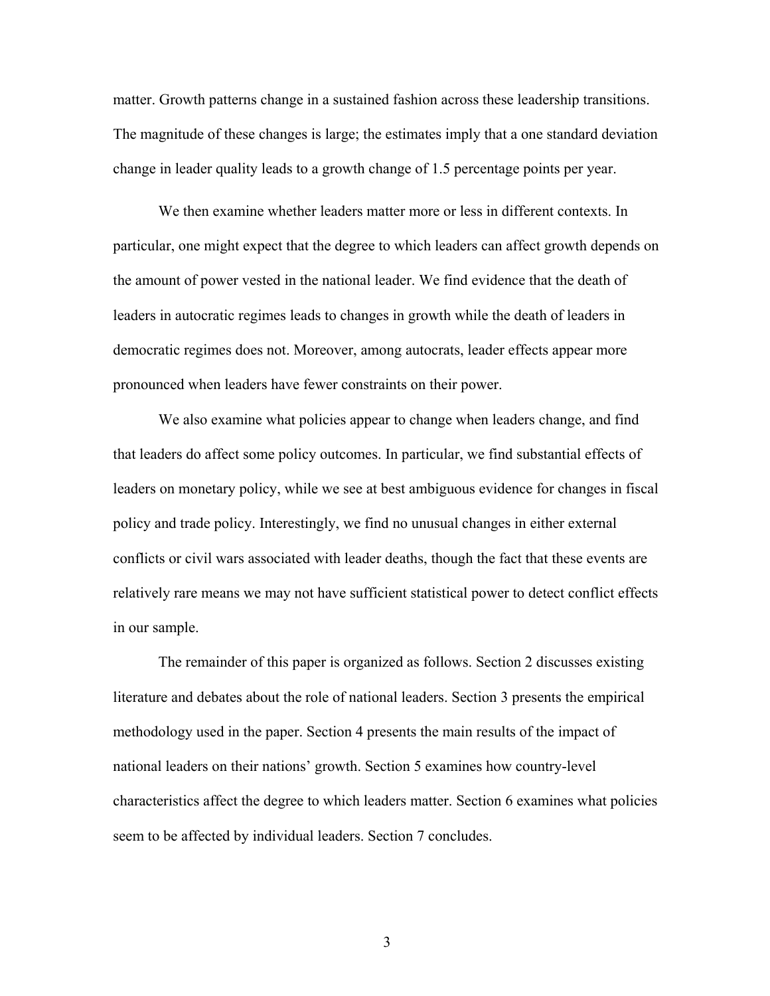matter. Growth patterns change in a sustained fashion across these leadership transitions. The magnitude of these changes is large; the estimates imply that a one standard deviation change in leader quality leads to a growth change of 1.5 percentage points per year.

We then examine whether leaders matter more or less in different contexts. In particular, one might expect that the degree to which leaders can affect growth depends on the amount of power vested in the national leader. We find evidence that the death of leaders in autocratic regimes leads to changes in growth while the death of leaders in democratic regimes does not. Moreover, among autocrats, leader effects appear more pronounced when leaders have fewer constraints on their power.

We also examine what policies appear to change when leaders change, and find that leaders do affect some policy outcomes. In particular, we find substantial effects of leaders on monetary policy, while we see at best ambiguous evidence for changes in fiscal policy and trade policy. Interestingly, we find no unusual changes in either external conflicts or civil wars associated with leader deaths, though the fact that these events are relatively rare means we may not have sufficient statistical power to detect conflict effects in our sample.

 The remainder of this paper is organized as follows. Section 2 discusses existing literature and debates about the role of national leaders. Section 3 presents the empirical methodology used in the paper. Section 4 presents the main results of the impact of national leaders on their nations' growth. Section 5 examines how country-level characteristics affect the degree to which leaders matter. Section 6 examines what policies seem to be affected by individual leaders. Section 7 concludes.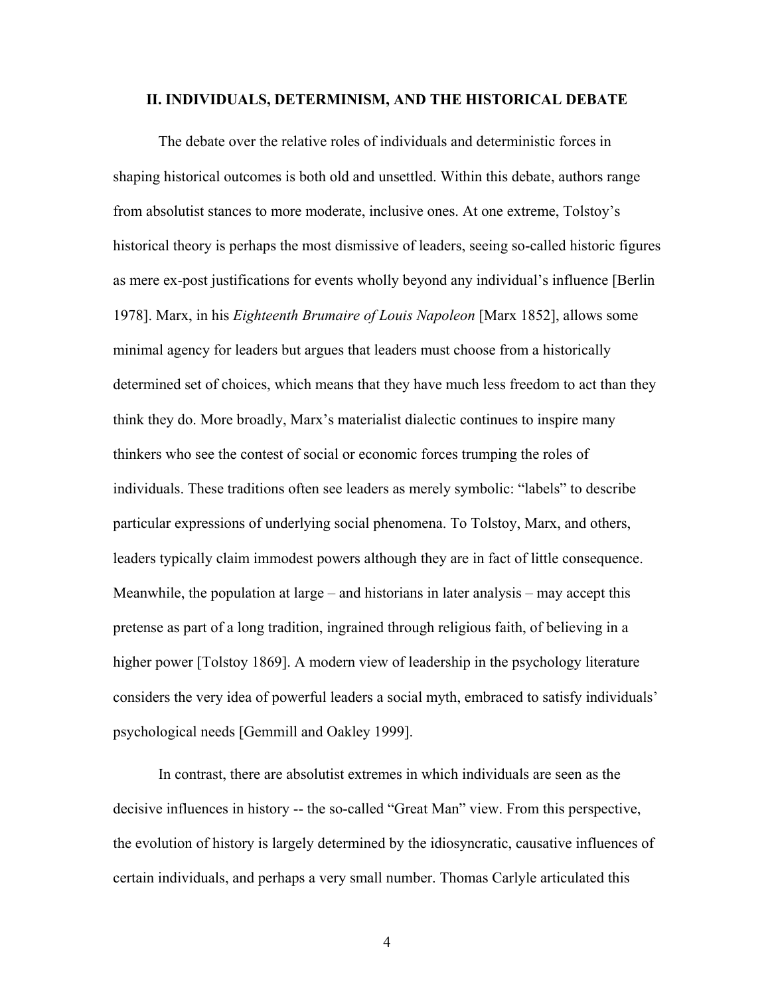### **II. INDIVIDUALS, DETERMINISM, AND THE HISTORICAL DEBATE**

 The debate over the relative roles of individuals and deterministic forces in shaping historical outcomes is both old and unsettled. Within this debate, authors range from absolutist stances to more moderate, inclusive ones. At one extreme, Tolstoy's historical theory is perhaps the most dismissive of leaders, seeing so-called historic figures as mere ex-post justifications for events wholly beyond any individual's influence [Berlin 1978]. Marx, in his *Eighteenth Brumaire of Louis Napoleon* [Marx 1852], allows some minimal agency for leaders but argues that leaders must choose from a historically determined set of choices, which means that they have much less freedom to act than they think they do. More broadly, Marx's materialist dialectic continues to inspire many thinkers who see the contest of social or economic forces trumping the roles of individuals. These traditions often see leaders as merely symbolic: "labels" to describe particular expressions of underlying social phenomena. To Tolstoy, Marx, and others, leaders typically claim immodest powers although they are in fact of little consequence. Meanwhile, the population at large – and historians in later analysis – may accept this pretense as part of a long tradition, ingrained through religious faith, of believing in a higher power [Tolstoy 1869]. A modern view of leadership in the psychology literature considers the very idea of powerful leaders a social myth, embraced to satisfy individuals' psychological needs [Gemmill and Oakley 1999].

 In contrast, there are absolutist extremes in which individuals are seen as the decisive influences in history -- the so-called "Great Man" view. From this perspective, the evolution of history is largely determined by the idiosyncratic, causative influences of certain individuals, and perhaps a very small number. Thomas Carlyle articulated this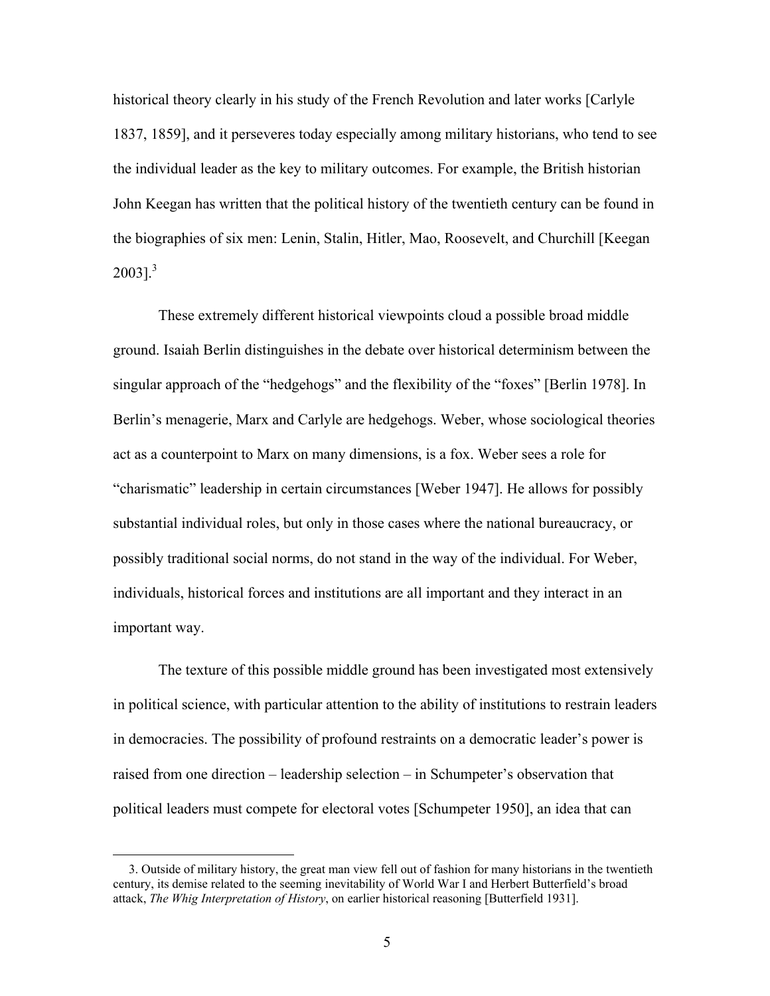historical theory clearly in his study of the French Revolution and later works [Carlyle 1837, 1859], and it perseveres today especially among military historians, who tend to see the individual leader as the key to military outcomes. For example, the British historian John Keegan has written that the political history of the twentieth century can be found in the biographies of six men: Lenin, Stalin, Hitler, Mao, Roosevelt, and Churchill [Keegan  $2003$ ].<sup>3</sup>

 These extremely different historical viewpoints cloud a possible broad middle ground. Isaiah Berlin distinguishes in the debate over historical determinism between the singular approach of the "hedgehogs" and the flexibility of the "foxes" [Berlin 1978]. In Berlin's menagerie, Marx and Carlyle are hedgehogs. Weber, whose sociological theories act as a counterpoint to Marx on many dimensions, is a fox. Weber sees a role for "charismatic" leadership in certain circumstances [Weber 1947]. He allows for possibly substantial individual roles, but only in those cases where the national bureaucracy, or possibly traditional social norms, do not stand in the way of the individual. For Weber, individuals, historical forces and institutions are all important and they interact in an important way.

 The texture of this possible middle ground has been investigated most extensively in political science, with particular attention to the ability of institutions to restrain leaders in democracies. The possibility of profound restraints on a democratic leader's power is raised from one direction – leadership selection – in Schumpeter's observation that political leaders must compete for electoral votes [Schumpeter 1950], an idea that can

 <sup>3.</sup> Outside of military history, the great man view fell out of fashion for many historians in the twentieth century, its demise related to the seeming inevitability of World War I and Herbert Butterfield's broad attack, *The Whig Interpretation of History*, on earlier historical reasoning [Butterfield 1931].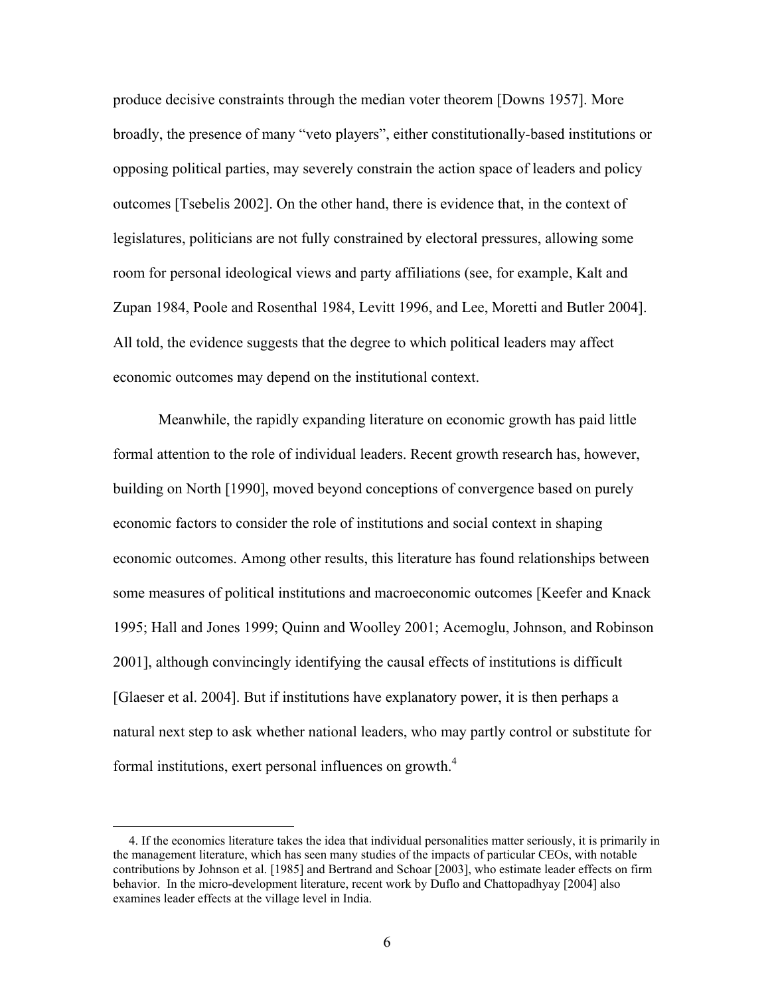produce decisive constraints through the median voter theorem [Downs 1957]. More broadly, the presence of many "veto players", either constitutionally-based institutions or opposing political parties, may severely constrain the action space of leaders and policy outcomes [Tsebelis 2002]. On the other hand, there is evidence that, in the context of legislatures, politicians are not fully constrained by electoral pressures, allowing some room for personal ideological views and party affiliations (see, for example, Kalt and Zupan 1984, Poole and Rosenthal 1984, Levitt 1996, and Lee, Moretti and Butler 2004]. All told, the evidence suggests that the degree to which political leaders may affect economic outcomes may depend on the institutional context.

 Meanwhile, the rapidly expanding literature on economic growth has paid little formal attention to the role of individual leaders. Recent growth research has, however, building on North [1990], moved beyond conceptions of convergence based on purely economic factors to consider the role of institutions and social context in shaping economic outcomes. Among other results, this literature has found relationships between some measures of political institutions and macroeconomic outcomes [Keefer and Knack 1995; Hall and Jones 1999; Quinn and Woolley 2001; Acemoglu, Johnson, and Robinson 2001], although convincingly identifying the causal effects of institutions is difficult [Glaeser et al. 2004]. But if institutions have explanatory power, it is then perhaps a natural next step to ask whether national leaders, who may partly control or substitute for formal institutions, exert personal influences on growth.<sup>4</sup>

 <sup>4.</sup> If the economics literature takes the idea that individual personalities matter seriously, it is primarily in the management literature, which has seen many studies of the impacts of particular CEOs, with notable contributions by Johnson et al. [1985] and Bertrand and Schoar [2003], who estimate leader effects on firm behavior. In the micro-development literature, recent work by Duflo and Chattopadhyay [2004] also examines leader effects at the village level in India.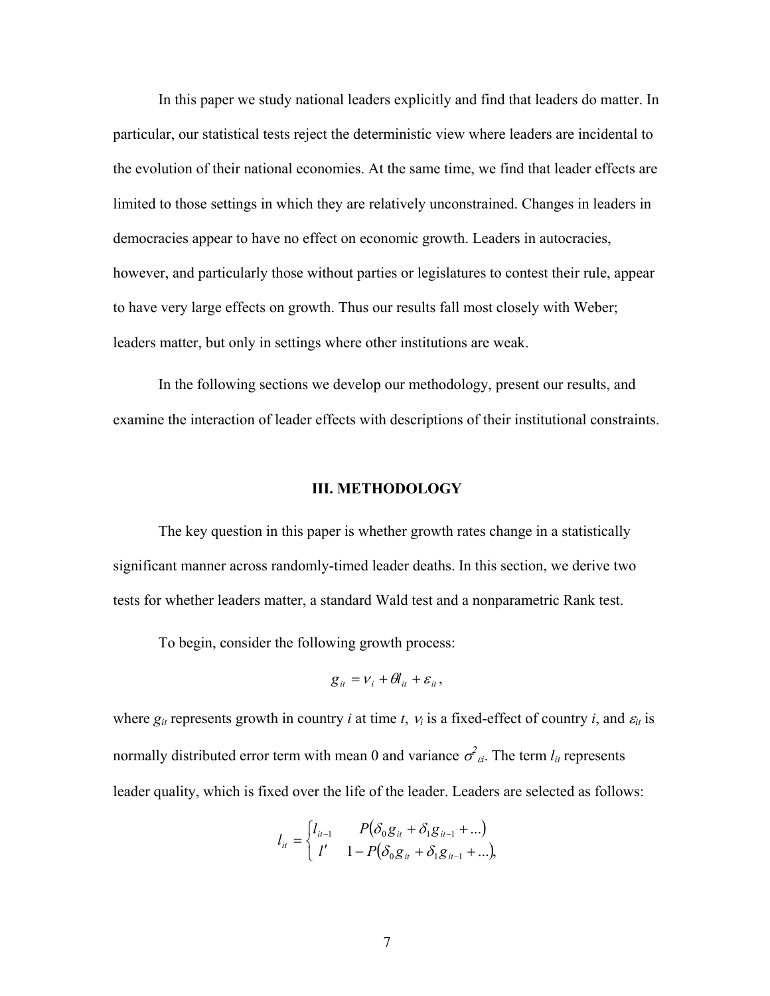In this paper we study national leaders explicitly and find that leaders do matter. In particular, our statistical tests reject the deterministic view where leaders are incidental to the evolution of their national economies. At the same time, we find that leader effects are limited to those settings in which they are relatively unconstrained. Changes in leaders in democracies appear to have no effect on economic growth. Leaders in autocracies, however, and particularly those without parties or legislatures to contest their rule, appear to have very large effects on growth. Thus our results fall most closely with Weber; leaders matter, but only in settings where other institutions are weak.

 In the following sections we develop our methodology, present our results, and examine the interaction of leader effects with descriptions of their institutional constraints.

### **III. METHODOLOGY**

The key question in this paper is whether growth rates change in a statistically significant manner across randomly-timed leader deaths. In this section, we derive two tests for whether leaders matter, a standard Wald test and a nonparametric Rank test.

To begin, consider the following growth process:

$$
g_{it} = v_i + \theta l_{it} + \varepsilon_{it},
$$

where  $g_{it}$  represents growth in country *i* at time *t*,  $v_i$  is a fixed-effect of country *i*, and  $\varepsilon_{it}$  is normally distributed error term with mean 0 and variance  $\sigma^2_{a}$ . The term  $l_{it}$  represents leader quality, which is fixed over the life of the leader. Leaders are selected as follows:

$$
l_{it} = \begin{cases} l_{it-1} & P(\delta_0 g_{it} + \delta_1 g_{it-1} + ...) \\ l' & 1 - P(\delta_0 g_{it} + \delta_1 g_{it-1} + ...), \end{cases}
$$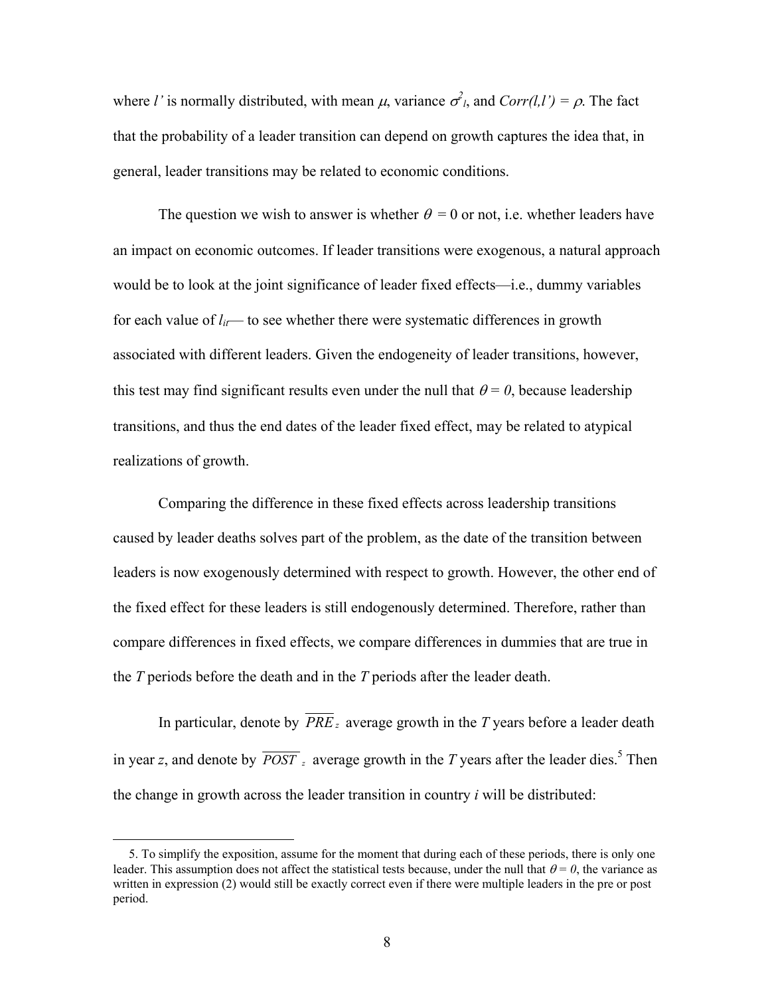where *l'* is normally distributed, with mean  $\mu$ , variance  $\sigma^2$ , and  $Corr(l, l') = \rho$ . The fact that the probability of a leader transition can depend on growth captures the idea that, in general, leader transitions may be related to economic conditions.

The question we wish to answer is whether  $\theta = 0$  or not, i.e. whether leaders have an impact on economic outcomes. If leader transitions were exogenous, a natural approach would be to look at the joint significance of leader fixed effects—i.e., dummy variables for each value of  $l_{it}$ — to see whether there were systematic differences in growth associated with different leaders. Given the endogeneity of leader transitions, however, this test may find significant results even under the null that  $\theta = 0$ , because leadership transitions, and thus the end dates of the leader fixed effect, may be related to atypical realizations of growth.

Comparing the difference in these fixed effects across leadership transitions caused by leader deaths solves part of the problem, as the date of the transition between leaders is now exogenously determined with respect to growth. However, the other end of the fixed effect for these leaders is still endogenously determined. Therefore, rather than compare differences in fixed effects, we compare differences in dummies that are true in the *T* periods before the death and in the *T* periods after the leader death.

 In particular, denote by *PRE <sup>z</sup>* average growth in the *T* years before a leader death in year *z*, and denote by  $\overline{POST}$  *z* average growth in the *T* years after the leader dies.<sup>5</sup> Then the change in growth across the leader transition in country *i* will be distributed:

<u>.</u>

 <sup>5.</sup> To simplify the exposition, assume for the moment that during each of these periods, there is only one leader. This assumption does not affect the statistical tests because, under the null that  $\theta = 0$ , the variance as written in expression (2) would still be exactly correct even if there were multiple leaders in the pre or post period.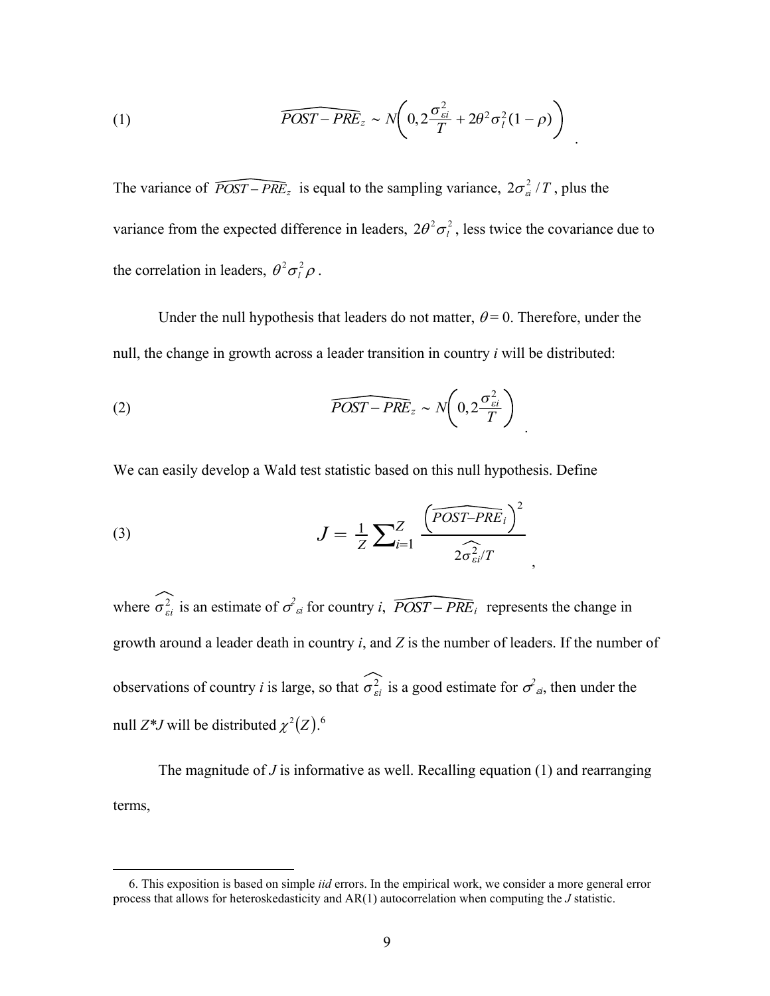(1) 
$$
\widehat{POST - PRE}_z \sim N\left(0, 2\frac{\sigma_{si}^2}{T} + 2\theta^2 \sigma_l^2 (1 - \rho)\right)
$$

The variance of  $\widehat{POST - PRE_z}$  is equal to the sampling variance,  $2\sigma_{ci}^2/T$ , plus the variance from the expected difference in leaders,  $2\theta^2 \sigma_l^2$ , less twice the covariance due to the correlation in leaders,  $\theta^2 \sigma_l^2 \rho$ .

Under the null hypothesis that leaders do not matter,  $\theta = 0$ . Therefore, under the null, the change in growth across a leader transition in country *i* will be distributed:

(2) 
$$
\widehat{POST - PRE}_z \sim N\left(0, 2\frac{\sigma_{ei}^2}{T}\right)
$$

We can easily develop a Wald test statistic based on this null hypothesis. Define

(3) 
$$
J = \frac{1}{Z} \sum_{i=1}^{Z} \frac{\left(\widehat{POST-PRE}_i\right)^2}{2\widehat{\sigma}_{si}^2/T},
$$

 $\overline{a}$ 

where  $\sigma_{ei}^2$  is an estimate of  $\sigma_{ei}^2$  for country *i*,  $\widehat{POST - PRE_i}$  represents the change in growth around a leader death in country *i*, and *Z* is the number of leaders. If the number of observations of country *i* is large, so that  $\sigma_{si}^2$  is a good estimate for  $\sigma_{si}^2$ , then under the null  $Z^*J$  will be distributed  $\chi^2(Z)$ .<sup>6</sup>

 The magnitude of *J* is informative as well. Recalling equation (1) and rearranging terms,

 <sup>6.</sup> This exposition is based on simple *iid* errors. In the empirical work, we consider a more general error process that allows for heteroskedasticity and AR(1) autocorrelation when computing the *J* statistic.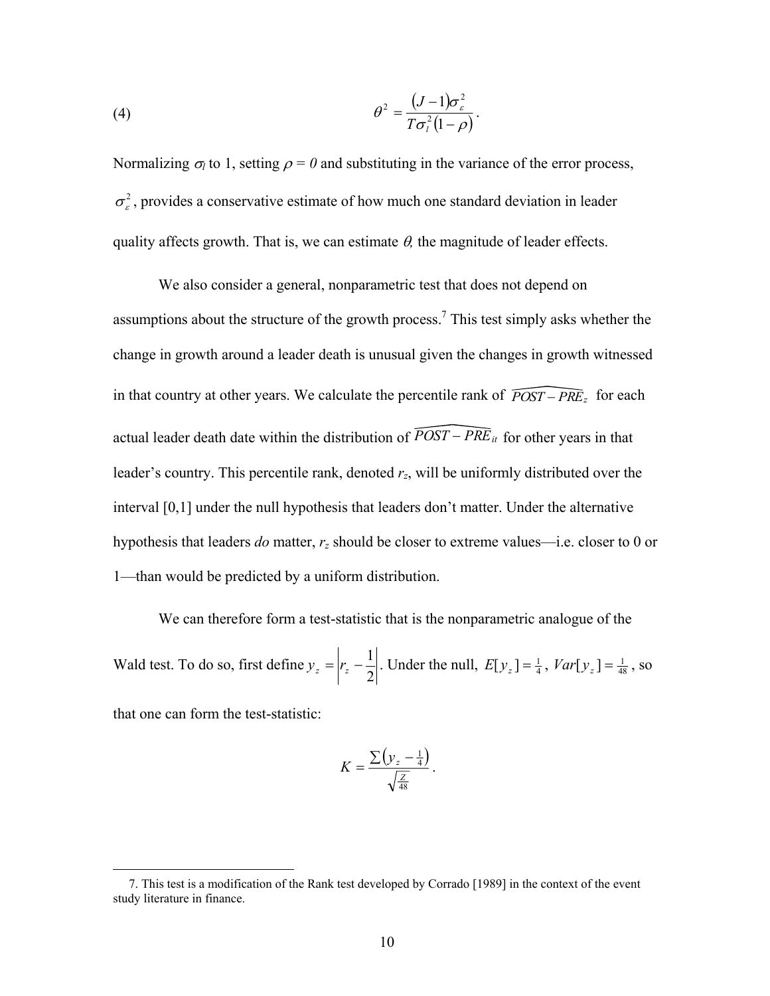(4) 
$$
\theta^2 = \frac{(J-1)\sigma_{\varepsilon}^2}{T\sigma_l^2(1-\rho)}.
$$

Normalizing  $\sigma_l$  to 1, setting  $\rho = 0$  and substituting in the variance of the error process,  $\sigma_{\varepsilon}^2$ , provides a conservative estimate of how much one standard deviation in leader quality affects growth. That is, we can estimate  $\theta$ , the magnitude of leader effects.

 We also consider a general, nonparametric test that does not depend on assumptions about the structure of the growth process.<sup>7</sup> This test simply asks whether the change in growth around a leader death is unusual given the changes in growth witnessed in that country at other years. We calculate the percentile rank of  $\widehat{POST - PRE_z}$  for each actual leader death date within the distribution of  $\widehat{POST - PRE}_{it}$  for other years in that leader's country. This percentile rank, denoted *rz*, will be uniformly distributed over the interval [0,1] under the null hypothesis that leaders don't matter. Under the alternative hypothesis that leaders *do* matter, *rz* should be closer to extreme values—i.e. closer to 0 or 1—than would be predicted by a uniform distribution.

 We can therefore form a test-statistic that is the nonparametric analogue of the Wald test. To do so, first define  $y_z = \left| r_z - \frac{1}{2} \right|$ . Under the null,  $E[y_z] = \frac{1}{4}$ ,  $Var[y_z] = \frac{1}{48}$ , so that one can form the test-statistic:

$$
K = \frac{\sum (y_z - \frac{1}{4})}{\sqrt{\frac{Z}{48}}}.
$$

 $\overline{a}$ 

 <sup>7.</sup> This test is a modification of the Rank test developed by Corrado [1989] in the context of the event study literature in finance.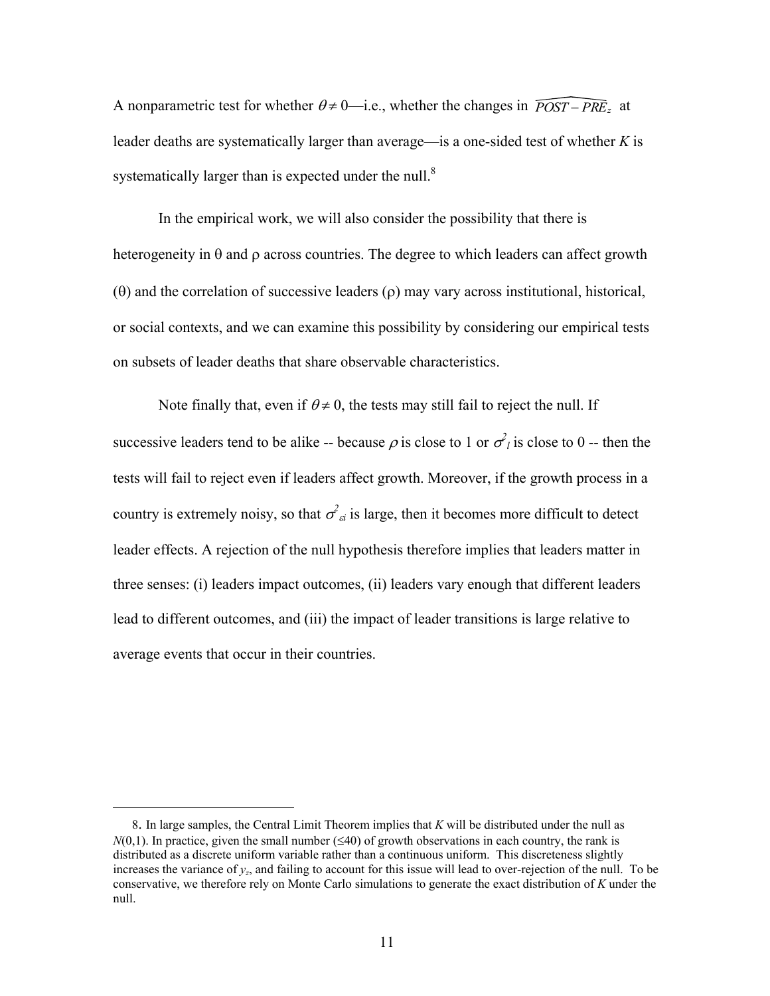A nonparametric test for whether  $\theta \neq 0$ —i.e., whether the changes in  $\widehat{POST - PRE}$ , at leader deaths are systematically larger than average—is a one-sided test of whether *K* is systematically larger than is expected under the null.<sup>8</sup>

 In the empirical work, we will also consider the possibility that there is heterogeneity in  $\theta$  and  $\rho$  across countries. The degree to which leaders can affect growth (θ) and the correlation of successive leaders (ρ) may vary across institutional, historical, or social contexts, and we can examine this possibility by considering our empirical tests on subsets of leader deaths that share observable characteristics.

Note finally that, even if  $\theta \neq 0$ , the tests may still fail to reject the null. If successive leaders tend to be alike -- because  $\rho$  is close to 1 or  $\sigma_l^2$  is close to 0 -- then the tests will fail to reject even if leaders affect growth. Moreover, if the growth process in a country is extremely noisy, so that  $\sigma^2_{\alpha i}$  is large, then it becomes more difficult to detect leader effects. A rejection of the null hypothesis therefore implies that leaders matter in three senses: (i) leaders impact outcomes, (ii) leaders vary enough that different leaders lead to different outcomes, and (iii) the impact of leader transitions is large relative to average events that occur in their countries.

 $\overline{a}$ 

 <sup>8.</sup> In large samples, the Central Limit Theorem implies that *K* will be distributed under the null as  $N(0,1)$ . In practice, given the small number ( $\leq 40$ ) of growth observations in each country, the rank is distributed as a discrete uniform variable rather than a continuous uniform. This discreteness slightly increases the variance of *yz*, and failing to account for this issue will lead to over-rejection of the null. To be conservative, we therefore rely on Monte Carlo simulations to generate the exact distribution of *K* under the null.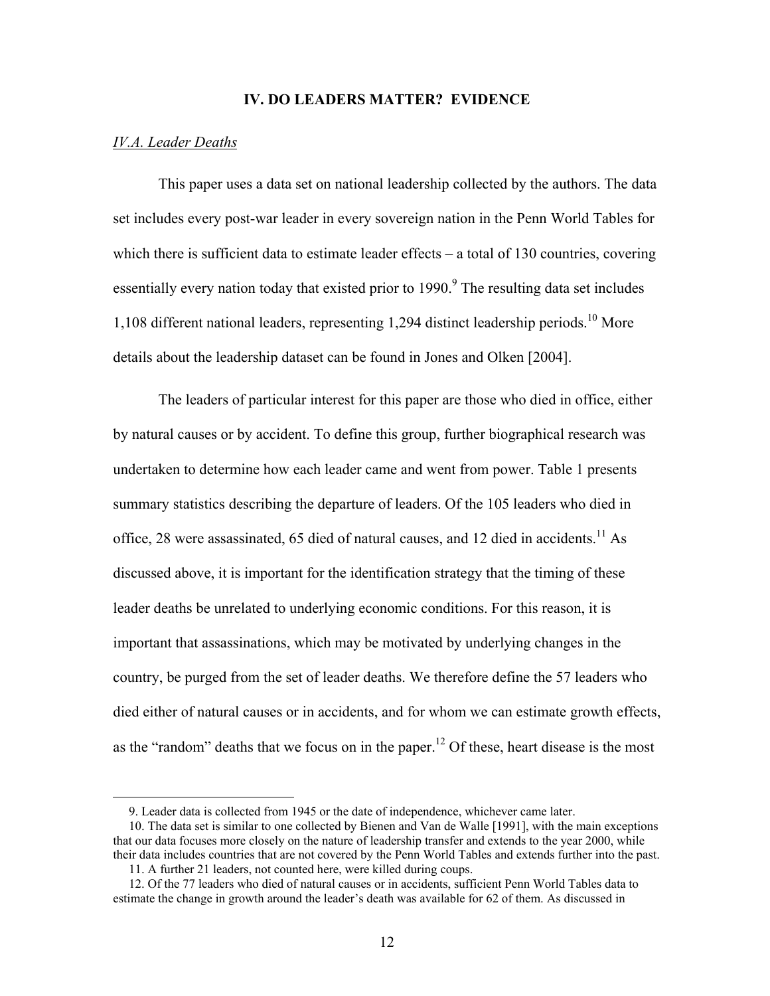### **IV. DO LEADERS MATTER? EVIDENCE**

### *IV.A. Leader Deaths*

 $\overline{a}$ 

 This paper uses a data set on national leadership collected by the authors. The data set includes every post-war leader in every sovereign nation in the Penn World Tables for which there is sufficient data to estimate leader effects – a total of 130 countries, covering essentially every nation today that existed prior to  $1990<sup>9</sup>$ . The resulting data set includes 1,108 different national leaders, representing 1,294 distinct leadership periods.<sup>10</sup> More details about the leadership dataset can be found in Jones and Olken [2004].

 The leaders of particular interest for this paper are those who died in office, either by natural causes or by accident. To define this group, further biographical research was undertaken to determine how each leader came and went from power. Table 1 presents summary statistics describing the departure of leaders. Of the 105 leaders who died in office, 28 were assassinated, 65 died of natural causes, and 12 died in accidents.<sup>11</sup> As discussed above, it is important for the identification strategy that the timing of these leader deaths be unrelated to underlying economic conditions. For this reason, it is important that assassinations, which may be motivated by underlying changes in the country, be purged from the set of leader deaths. We therefore define the 57 leaders who died either of natural causes or in accidents, and for whom we can estimate growth effects, as the "random" deaths that we focus on in the paper.<sup>12</sup> Of these, heart disease is the most

 <sup>9.</sup> Leader data is collected from 1945 or the date of independence, whichever came later.

 <sup>10.</sup> The data set is similar to one collected by Bienen and Van de Walle [1991], with the main exceptions that our data focuses more closely on the nature of leadership transfer and extends to the year 2000, while their data includes countries that are not covered by the Penn World Tables and extends further into the past.

 <sup>11.</sup> A further 21 leaders, not counted here, were killed during coups.

 <sup>12.</sup> Of the 77 leaders who died of natural causes or in accidents, sufficient Penn World Tables data to estimate the change in growth around the leader's death was available for 62 of them. As discussed in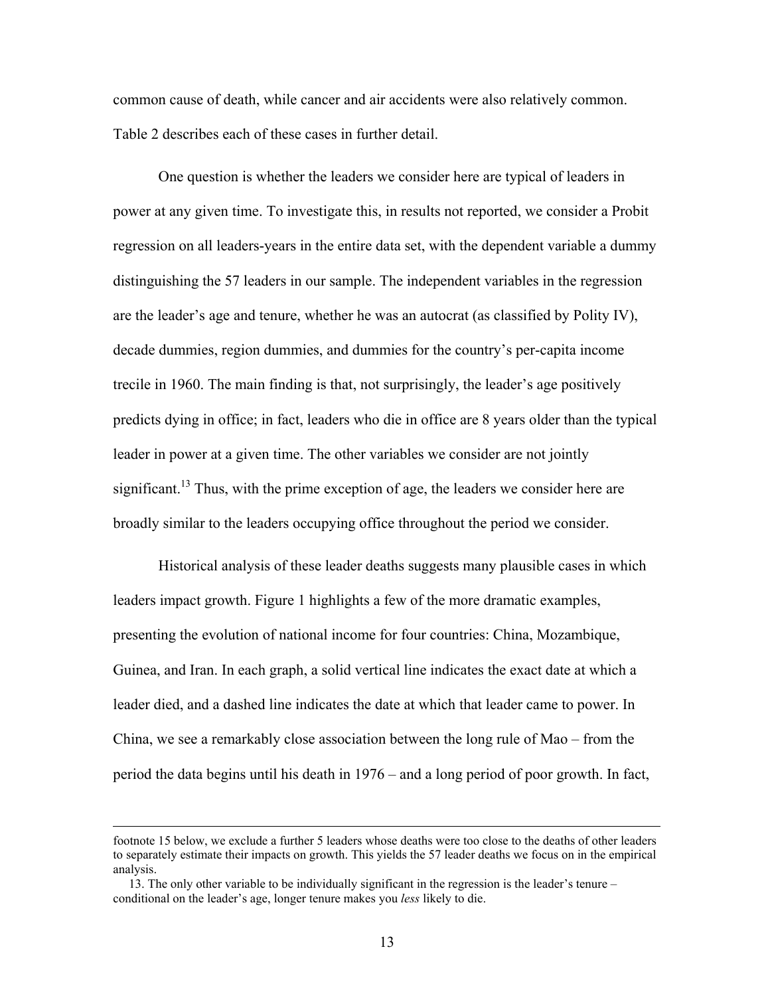common cause of death, while cancer and air accidents were also relatively common. Table 2 describes each of these cases in further detail.

 One question is whether the leaders we consider here are typical of leaders in power at any given time. To investigate this, in results not reported, we consider a Probit regression on all leaders-years in the entire data set, with the dependent variable a dummy distinguishing the 57 leaders in our sample. The independent variables in the regression are the leader's age and tenure, whether he was an autocrat (as classified by Polity IV), decade dummies, region dummies, and dummies for the country's per-capita income trecile in 1960. The main finding is that, not surprisingly, the leader's age positively predicts dying in office; in fact, leaders who die in office are 8 years older than the typical leader in power at a given time. The other variables we consider are not jointly significant.<sup>13</sup> Thus, with the prime exception of age, the leaders we consider here are broadly similar to the leaders occupying office throughout the period we consider.

 Historical analysis of these leader deaths suggests many plausible cases in which leaders impact growth. Figure 1 highlights a few of the more dramatic examples, presenting the evolution of national income for four countries: China, Mozambique, Guinea, and Iran. In each graph, a solid vertical line indicates the exact date at which a leader died, and a dashed line indicates the date at which that leader came to power. In China, we see a remarkably close association between the long rule of Mao – from the period the data begins until his death in 1976 – and a long period of poor growth. In fact,

footnote 15 below, we exclude a further 5 leaders whose deaths were too close to the deaths of other leaders to separately estimate their impacts on growth. This yields the 57 leader deaths we focus on in the empirical analysis.

 <sup>13.</sup> The only other variable to be individually significant in the regression is the leader's tenure – conditional on the leader's age, longer tenure makes you *less* likely to die.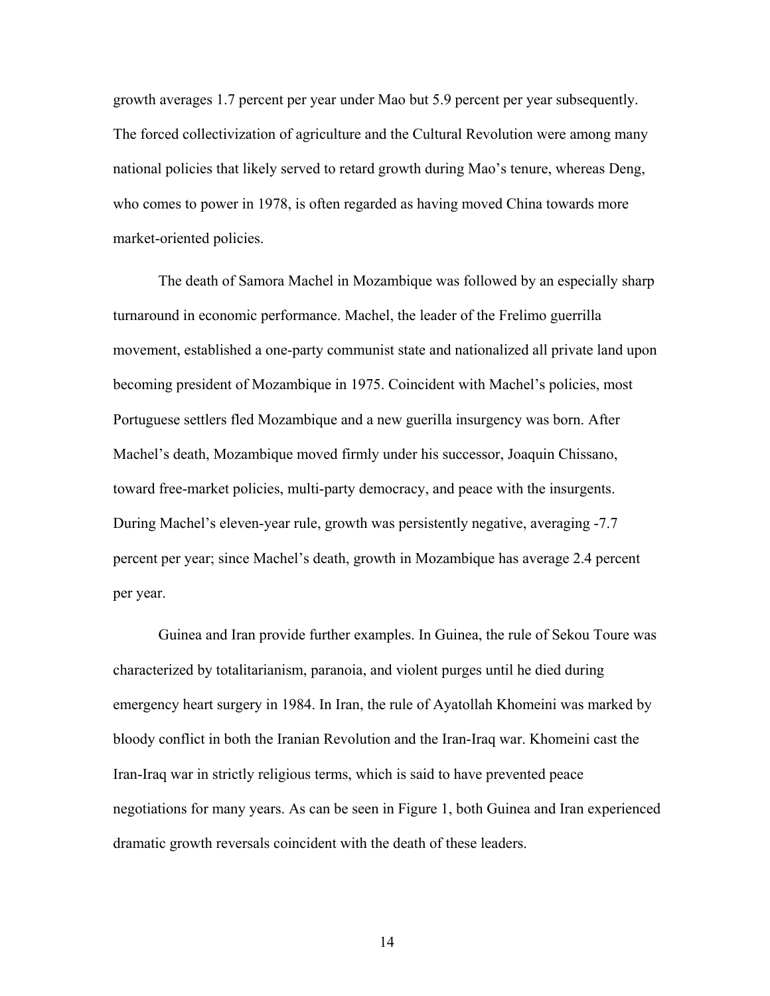growth averages 1.7 percent per year under Mao but 5.9 percent per year subsequently. The forced collectivization of agriculture and the Cultural Revolution were among many national policies that likely served to retard growth during Mao's tenure, whereas Deng, who comes to power in 1978, is often regarded as having moved China towards more market-oriented policies.

 The death of Samora Machel in Mozambique was followed by an especially sharp turnaround in economic performance. Machel, the leader of the Frelimo guerrilla movement, established a one-party communist state and nationalized all private land upon becoming president of Mozambique in 1975. Coincident with Machel's policies, most Portuguese settlers fled Mozambique and a new guerilla insurgency was born. After Machel's death, Mozambique moved firmly under his successor, Joaquin Chissano, toward free-market policies, multi-party democracy, and peace with the insurgents. During Machel's eleven-year rule, growth was persistently negative, averaging -7.7 percent per year; since Machel's death, growth in Mozambique has average 2.4 percent per year.

 Guinea and Iran provide further examples. In Guinea, the rule of Sekou Toure was characterized by totalitarianism, paranoia, and violent purges until he died during emergency heart surgery in 1984. In Iran, the rule of Ayatollah Khomeini was marked by bloody conflict in both the Iranian Revolution and the Iran-Iraq war. Khomeini cast the Iran-Iraq war in strictly religious terms, which is said to have prevented peace negotiations for many years. As can be seen in Figure 1, both Guinea and Iran experienced dramatic growth reversals coincident with the death of these leaders.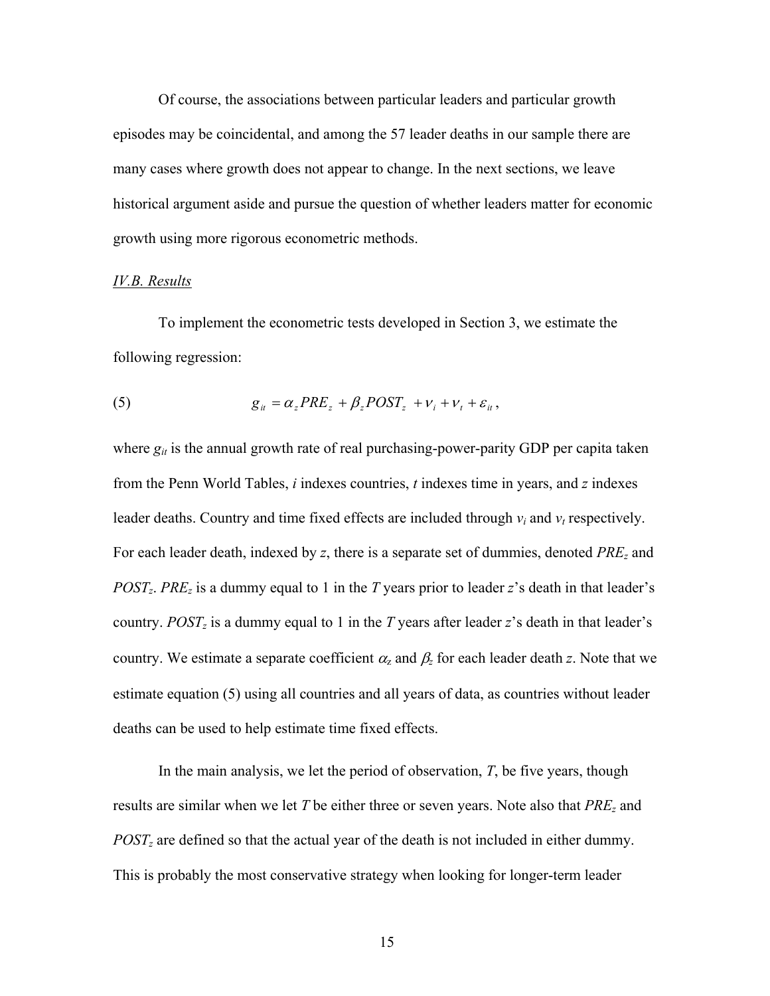Of course, the associations between particular leaders and particular growth episodes may be coincidental, and among the 57 leader deaths in our sample there are many cases where growth does not appear to change. In the next sections, we leave historical argument aside and pursue the question of whether leaders matter for economic growth using more rigorous econometric methods.

### *IV.B. Results*

 To implement the econometric tests developed in Section 3, we estimate the following regression:

(5) 
$$
g_{it} = \alpha_z P R E_z + \beta_z P O S T_z + v_i + v_t + \varepsilon_{it},
$$

where  $g_{it}$  is the annual growth rate of real purchasing-power-parity GDP per capita taken from the Penn World Tables, *i* indexes countries, *t* indexes time in years, and *z* indexes leader deaths. Country and time fixed effects are included through  $v_i$  and  $v_t$  respectively. For each leader death, indexed by *z*, there is a separate set of dummies, denoted *PREz* and *POSTz*. *PREz* is a dummy equal to 1 in the *T* years prior to leader *z*'s death in that leader's country. *POSTz* is a dummy equal to 1 in the *T* years after leader *z*'s death in that leader's country. We estimate a separate coefficient  $\alpha_z$  and  $\beta_z$  for each leader death *z*. Note that we estimate equation (5) using all countries and all years of data, as countries without leader deaths can be used to help estimate time fixed effects.

 In the main analysis, we let the period of observation, *T*, be five years, though results are similar when we let *T* be either three or seven years. Note also that *PREz* and *POSTz* are defined so that the actual year of the death is not included in either dummy. This is probably the most conservative strategy when looking for longer-term leader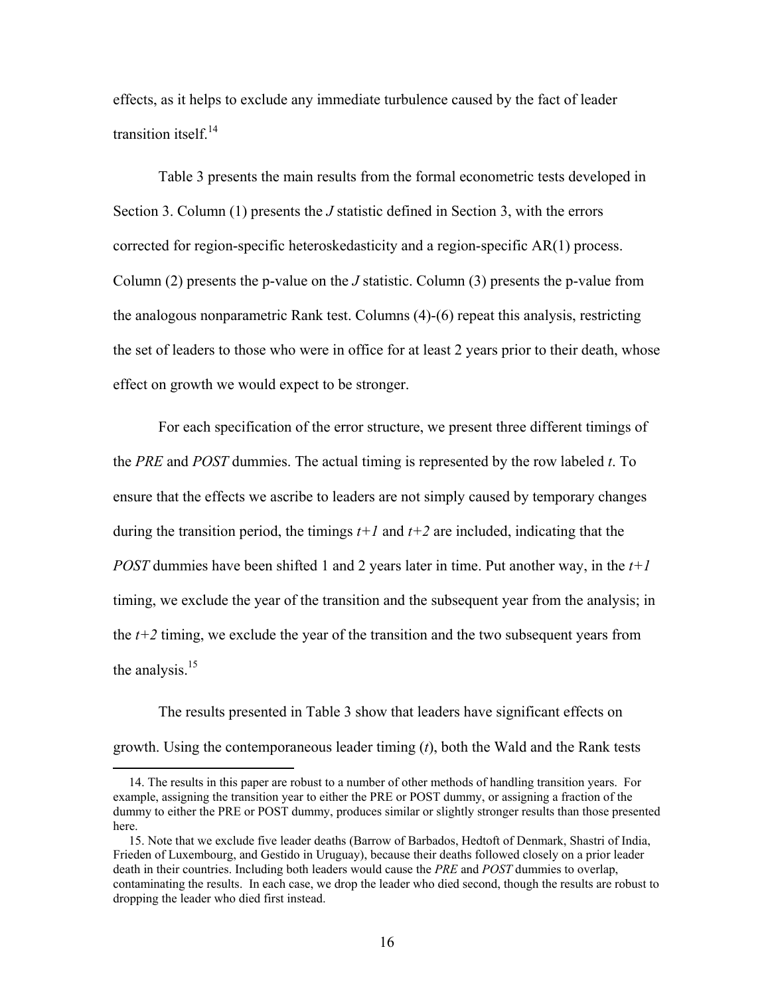effects, as it helps to exclude any immediate turbulence caused by the fact of leader transition itself.<sup>14</sup>

 Table 3 presents the main results from the formal econometric tests developed in Section 3. Column (1) presents the *J* statistic defined in Section 3, with the errors corrected for region-specific heteroskedasticity and a region-specific AR(1) process. Column (2) presents the p-value on the *J* statistic. Column (3) presents the p-value from the analogous nonparametric Rank test. Columns (4)-(6) repeat this analysis, restricting the set of leaders to those who were in office for at least 2 years prior to their death, whose effect on growth we would expect to be stronger.

 For each specification of the error structure, we present three different timings of the *PRE* and *POST* dummies. The actual timing is represented by the row labeled *t*. To ensure that the effects we ascribe to leaders are not simply caused by temporary changes during the transition period, the timings  $t+1$  and  $t+2$  are included, indicating that the *POST* dummies have been shifted 1 and 2 years later in time. Put another way, in the  $t+1$ timing, we exclude the year of the transition and the subsequent year from the analysis; in the *t+2* timing, we exclude the year of the transition and the two subsequent years from the analysis. $15$ 

 The results presented in Table 3 show that leaders have significant effects on growth. Using the contemporaneous leader timing (*t*), both the Wald and the Rank tests

 $\overline{a}$ 

 <sup>14.</sup> The results in this paper are robust to a number of other methods of handling transition years. For example, assigning the transition year to either the PRE or POST dummy, or assigning a fraction of the dummy to either the PRE or POST dummy, produces similar or slightly stronger results than those presented here.

 <sup>15.</sup> Note that we exclude five leader deaths (Barrow of Barbados, Hedtoft of Denmark, Shastri of India, Frieden of Luxembourg, and Gestido in Uruguay), because their deaths followed closely on a prior leader death in their countries. Including both leaders would cause the *PRE* and *POST* dummies to overlap, contaminating the results. In each case, we drop the leader who died second, though the results are robust to dropping the leader who died first instead.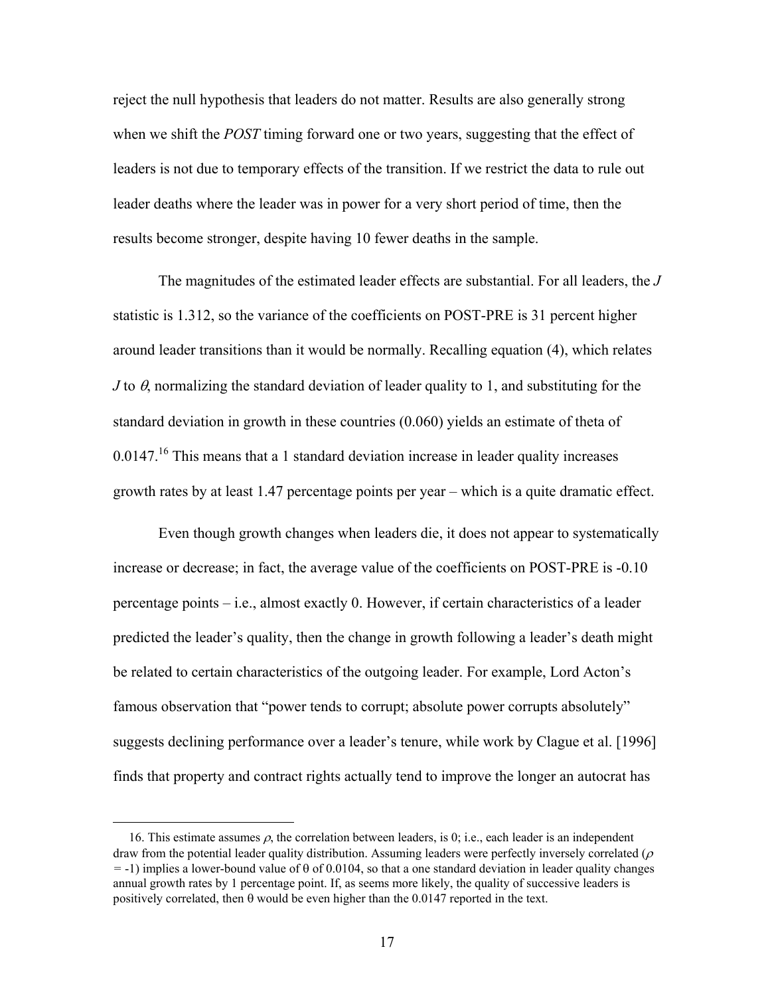reject the null hypothesis that leaders do not matter. Results are also generally strong when we shift the *POST* timing forward one or two years, suggesting that the effect of leaders is not due to temporary effects of the transition. If we restrict the data to rule out leader deaths where the leader was in power for a very short period of time, then the results become stronger, despite having 10 fewer deaths in the sample.

 The magnitudes of the estimated leader effects are substantial. For all leaders, the *J* statistic is 1.312, so the variance of the coefficients on POST-PRE is 31 percent higher around leader transitions than it would be normally. Recalling equation (4), which relates *J* to θ, normalizing the standard deviation of leader quality to 1, and substituting for the standard deviation in growth in these countries (0.060) yields an estimate of theta of  $0.0147<sup>16</sup>$  This means that a 1 standard deviation increase in leader quality increases growth rates by at least 1.47 percentage points per year – which is a quite dramatic effect.

 Even though growth changes when leaders die, it does not appear to systematically increase or decrease; in fact, the average value of the coefficients on POST-PRE is -0.10 percentage points – i.e., almost exactly 0. However, if certain characteristics of a leader predicted the leader's quality, then the change in growth following a leader's death might be related to certain characteristics of the outgoing leader. For example, Lord Acton's famous observation that "power tends to corrupt; absolute power corrupts absolutely" suggests declining performance over a leader's tenure, while work by Clague et al. [1996] finds that property and contract rights actually tend to improve the longer an autocrat has

<sup>16.</sup> This estimate assumes  $\rho$ , the correlation between leaders, is 0; i.e., each leader is an independent draw from the potential leader quality distribution. Assuming leaders were perfectly inversely correlated ( $\rho$ ) *=* -1) implies a lower-bound value of θ of 0.0104, so that a one standard deviation in leader quality changes annual growth rates by 1 percentage point. If, as seems more likely, the quality of successive leaders is positively correlated, then  $\theta$  would be even higher than the 0.0147 reported in the text.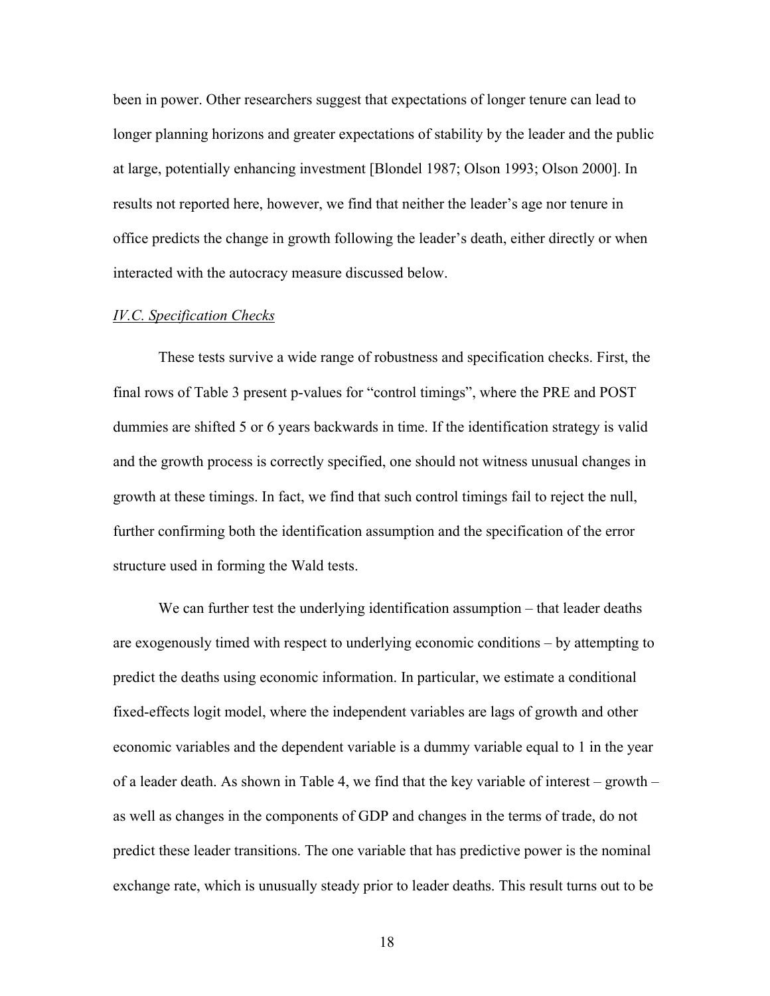been in power. Other researchers suggest that expectations of longer tenure can lead to longer planning horizons and greater expectations of stability by the leader and the public at large, potentially enhancing investment [Blondel 1987; Olson 1993; Olson 2000]. In results not reported here, however, we find that neither the leader's age nor tenure in office predicts the change in growth following the leader's death, either directly or when interacted with the autocracy measure discussed below.

### *IV.C. Specification Checks*

 These tests survive a wide range of robustness and specification checks. First, the final rows of Table 3 present p-values for "control timings", where the PRE and POST dummies are shifted 5 or 6 years backwards in time. If the identification strategy is valid and the growth process is correctly specified, one should not witness unusual changes in growth at these timings. In fact, we find that such control timings fail to reject the null, further confirming both the identification assumption and the specification of the error structure used in forming the Wald tests.

We can further test the underlying identification assumption – that leader deaths are exogenously timed with respect to underlying economic conditions – by attempting to predict the deaths using economic information. In particular, we estimate a conditional fixed-effects logit model, where the independent variables are lags of growth and other economic variables and the dependent variable is a dummy variable equal to 1 in the year of a leader death. As shown in Table 4, we find that the key variable of interest – growth – as well as changes in the components of GDP and changes in the terms of trade, do not predict these leader transitions. The one variable that has predictive power is the nominal exchange rate, which is unusually steady prior to leader deaths. This result turns out to be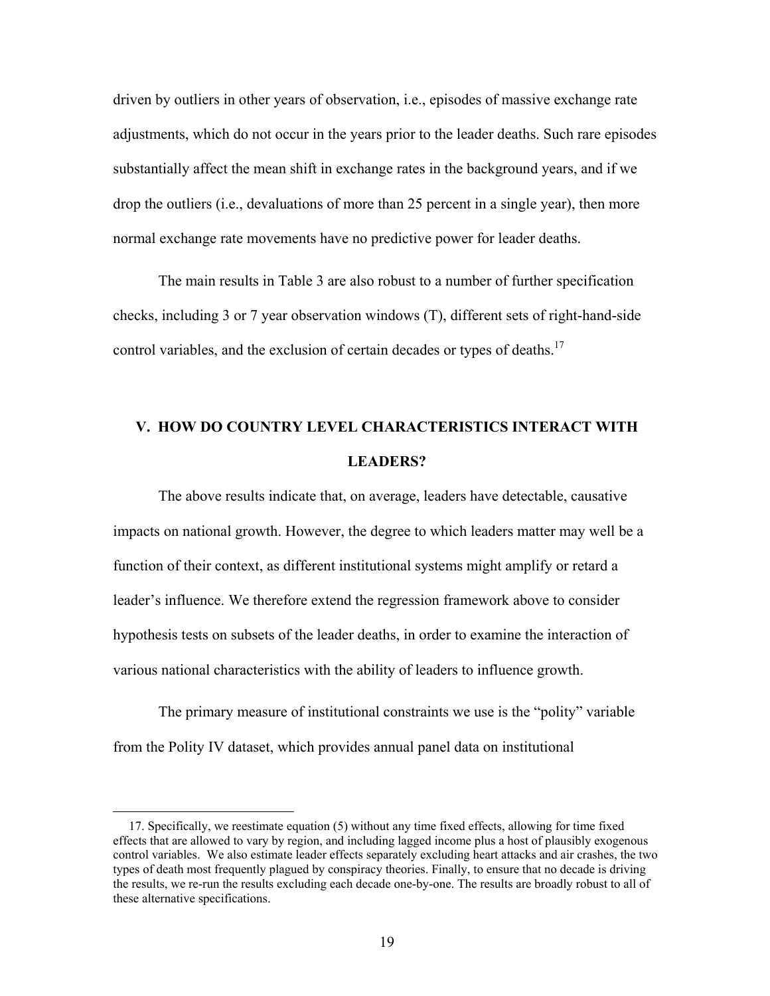driven by outliers in other years of observation, i.e., episodes of massive exchange rate adjustments, which do not occur in the years prior to the leader deaths. Such rare episodes substantially affect the mean shift in exchange rates in the background years, and if we drop the outliers (i.e., devaluations of more than 25 percent in a single year), then more normal exchange rate movements have no predictive power for leader deaths.

 The main results in Table 3 are also robust to a number of further specification checks, including 3 or 7 year observation windows (T), different sets of right-hand-side control variables, and the exclusion of certain decades or types of deaths.<sup>17</sup>

# **V. HOW DO COUNTRY LEVEL CHARACTERISTICS INTERACT WITH LEADERS?**

 The above results indicate that, on average, leaders have detectable, causative impacts on national growth. However, the degree to which leaders matter may well be a function of their context, as different institutional systems might amplify or retard a leader's influence. We therefore extend the regression framework above to consider hypothesis tests on subsets of the leader deaths, in order to examine the interaction of various national characteristics with the ability of leaders to influence growth.

 The primary measure of institutional constraints we use is the "polity" variable from the Polity IV dataset, which provides annual panel data on institutional

 $\overline{a}$ 

 <sup>17.</sup> Specifically, we reestimate equation (5) without any time fixed effects, allowing for time fixed effects that are allowed to vary by region, and including lagged income plus a host of plausibly exogenous control variables. We also estimate leader effects separately excluding heart attacks and air crashes, the two types of death most frequently plagued by conspiracy theories. Finally, to ensure that no decade is driving the results, we re-run the results excluding each decade one-by-one. The results are broadly robust to all of these alternative specifications.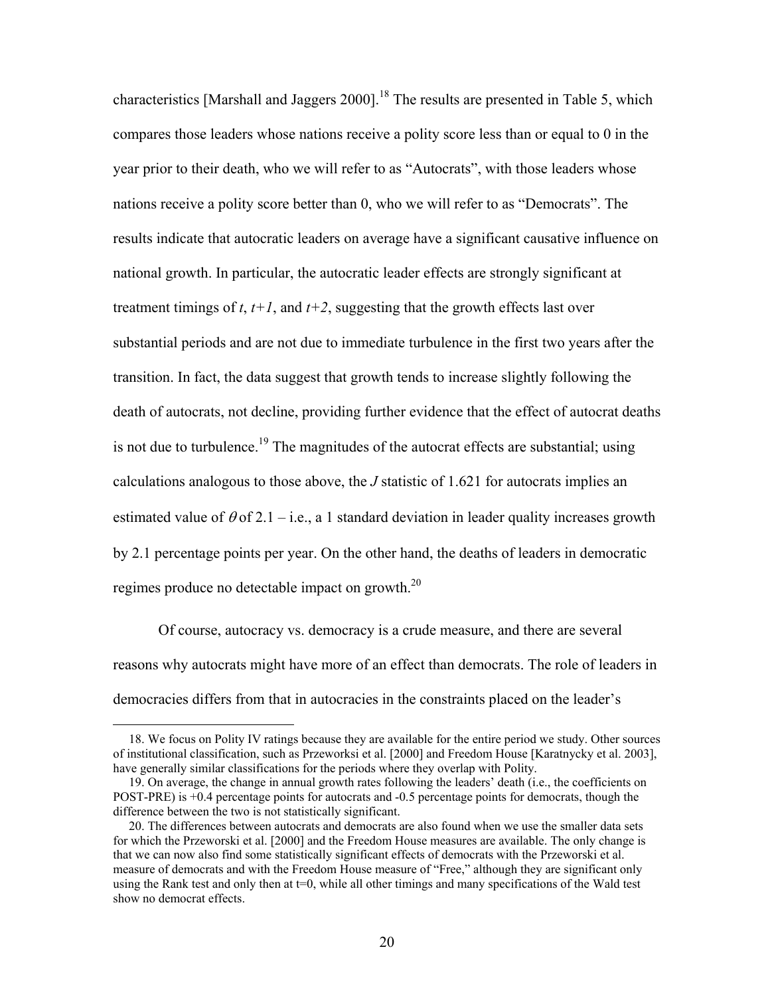characteristics [Marshall and Jaggers  $2000$ ]<sup>18</sup>. The results are presented in Table 5, which compares those leaders whose nations receive a polity score less than or equal to 0 in the year prior to their death, who we will refer to as "Autocrats", with those leaders whose nations receive a polity score better than 0, who we will refer to as "Democrats". The results indicate that autocratic leaders on average have a significant causative influence on national growth. In particular, the autocratic leader effects are strongly significant at treatment timings of  $t$ ,  $t+1$ , and  $t+2$ , suggesting that the growth effects last over substantial periods and are not due to immediate turbulence in the first two years after the transition. In fact, the data suggest that growth tends to increase slightly following the death of autocrats, not decline, providing further evidence that the effect of autocrat deaths is not due to turbulence.<sup>19</sup> The magnitudes of the autocrat effects are substantial; using calculations analogous to those above, the *J* statistic of 1.621 for autocrats implies an estimated value of  $\theta$  of 2.1 – i.e., a 1 standard deviation in leader quality increases growth by 2.1 percentage points per year. On the other hand, the deaths of leaders in democratic regimes produce no detectable impact on growth.<sup>20</sup>

Of course, autocracy vs. democracy is a crude measure, and there are several reasons why autocrats might have more of an effect than democrats. The role of leaders in democracies differs from that in autocracies in the constraints placed on the leader's

 <sup>18.</sup> We focus on Polity IV ratings because they are available for the entire period we study. Other sources of institutional classification, such as Przeworksi et al. [2000] and Freedom House [Karatnycky et al. 2003], have generally similar classifications for the periods where they overlap with Polity.

 <sup>19.</sup> On average, the change in annual growth rates following the leaders' death (i.e., the coefficients on POST-PRE) is +0.4 percentage points for autocrats and -0.5 percentage points for democrats, though the difference between the two is not statistically significant.

 <sup>20.</sup> The differences between autocrats and democrats are also found when we use the smaller data sets for which the Przeworski et al. [2000] and the Freedom House measures are available. The only change is that we can now also find some statistically significant effects of democrats with the Przeworski et al. measure of democrats and with the Freedom House measure of "Free," although they are significant only using the Rank test and only then at  $t=0$ , while all other timings and many specifications of the Wald test show no democrat effects.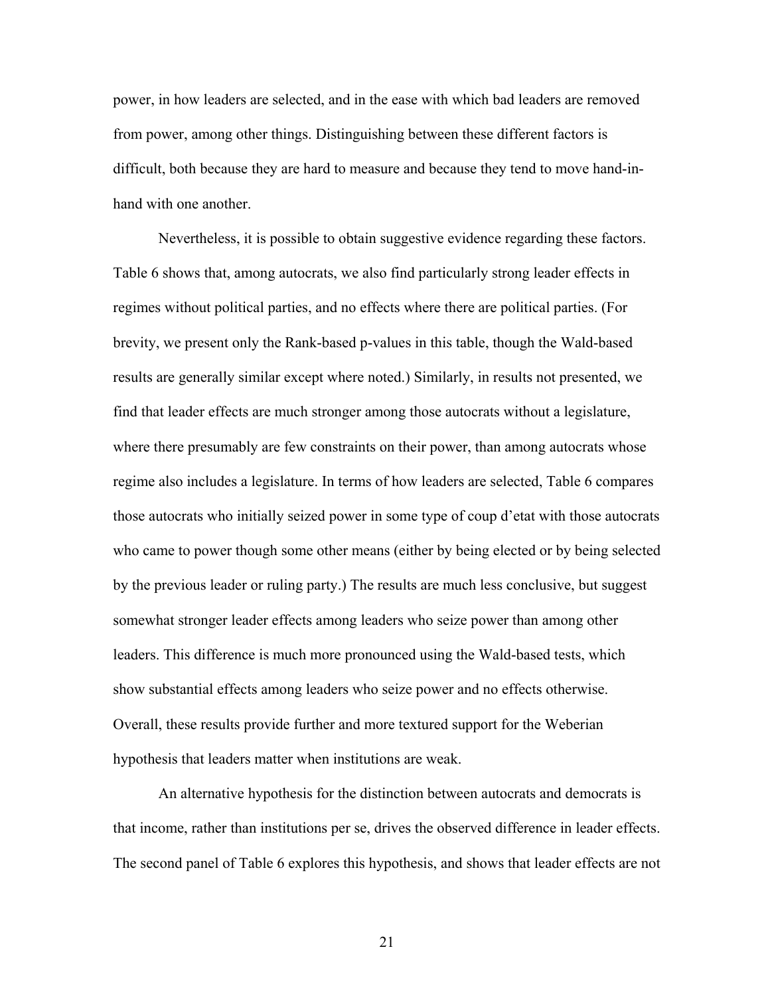power, in how leaders are selected, and in the ease with which bad leaders are removed from power, among other things. Distinguishing between these different factors is difficult, both because they are hard to measure and because they tend to move hand-inhand with one another.

Nevertheless, it is possible to obtain suggestive evidence regarding these factors. Table 6 shows that, among autocrats, we also find particularly strong leader effects in regimes without political parties, and no effects where there are political parties. (For brevity, we present only the Rank-based p-values in this table, though the Wald-based results are generally similar except where noted.) Similarly, in results not presented, we find that leader effects are much stronger among those autocrats without a legislature, where there presumably are few constraints on their power, than among autocrats whose regime also includes a legislature. In terms of how leaders are selected, Table 6 compares those autocrats who initially seized power in some type of coup d'etat with those autocrats who came to power though some other means (either by being elected or by being selected by the previous leader or ruling party.) The results are much less conclusive, but suggest somewhat stronger leader effects among leaders who seize power than among other leaders. This difference is much more pronounced using the Wald-based tests, which show substantial effects among leaders who seize power and no effects otherwise. Overall, these results provide further and more textured support for the Weberian hypothesis that leaders matter when institutions are weak.

 An alternative hypothesis for the distinction between autocrats and democrats is that income, rather than institutions per se, drives the observed difference in leader effects. The second panel of Table 6 explores this hypothesis, and shows that leader effects are not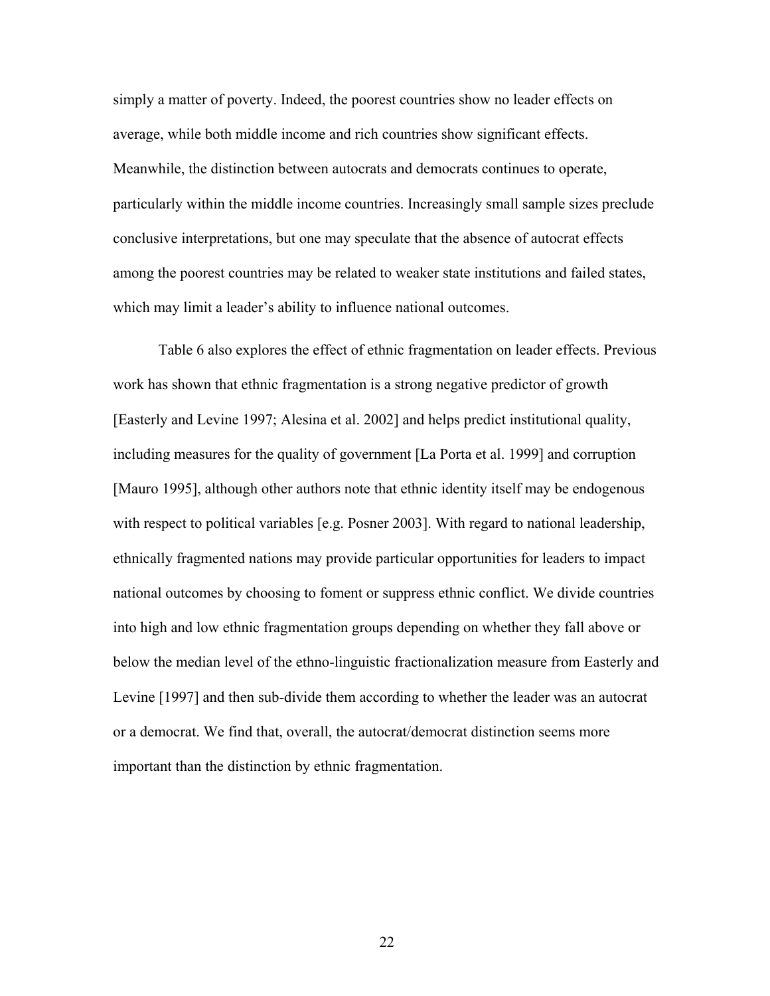simply a matter of poverty. Indeed, the poorest countries show no leader effects on average, while both middle income and rich countries show significant effects. Meanwhile, the distinction between autocrats and democrats continues to operate, particularly within the middle income countries. Increasingly small sample sizes preclude conclusive interpretations, but one may speculate that the absence of autocrat effects among the poorest countries may be related to weaker state institutions and failed states, which may limit a leader's ability to influence national outcomes.

 Table 6 also explores the effect of ethnic fragmentation on leader effects. Previous work has shown that ethnic fragmentation is a strong negative predictor of growth [Easterly and Levine 1997; Alesina et al. 2002] and helps predict institutional quality, including measures for the quality of government [La Porta et al. 1999] and corruption [Mauro 1995], although other authors note that ethnic identity itself may be endogenous with respect to political variables [e.g. Posner 2003]. With regard to national leadership, ethnically fragmented nations may provide particular opportunities for leaders to impact national outcomes by choosing to foment or suppress ethnic conflict. We divide countries into high and low ethnic fragmentation groups depending on whether they fall above or below the median level of the ethno-linguistic fractionalization measure from Easterly and Levine [1997] and then sub-divide them according to whether the leader was an autocrat or a democrat. We find that, overall, the autocrat/democrat distinction seems more important than the distinction by ethnic fragmentation.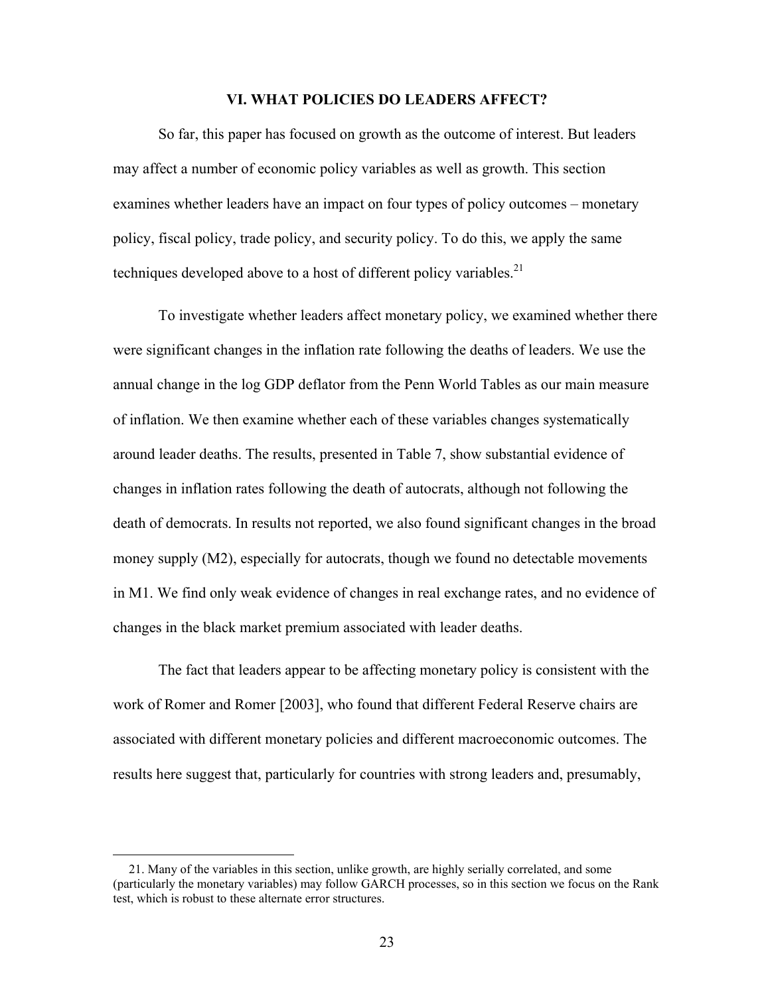### **VI. WHAT POLICIES DO LEADERS AFFECT?**

 So far, this paper has focused on growth as the outcome of interest. But leaders may affect a number of economic policy variables as well as growth. This section examines whether leaders have an impact on four types of policy outcomes – monetary policy, fiscal policy, trade policy, and security policy. To do this, we apply the same techniques developed above to a host of different policy variables.<sup>21</sup>

 To investigate whether leaders affect monetary policy, we examined whether there were significant changes in the inflation rate following the deaths of leaders. We use the annual change in the log GDP deflator from the Penn World Tables as our main measure of inflation. We then examine whether each of these variables changes systematically around leader deaths. The results, presented in Table 7, show substantial evidence of changes in inflation rates following the death of autocrats, although not following the death of democrats. In results not reported, we also found significant changes in the broad money supply (M2), especially for autocrats, though we found no detectable movements in M1. We find only weak evidence of changes in real exchange rates, and no evidence of changes in the black market premium associated with leader deaths.

 The fact that leaders appear to be affecting monetary policy is consistent with the work of Romer and Romer [2003], who found that different Federal Reserve chairs are associated with different monetary policies and different macroeconomic outcomes. The results here suggest that, particularly for countries with strong leaders and, presumably,

 $\overline{a}$ 

 <sup>21.</sup> Many of the variables in this section, unlike growth, are highly serially correlated, and some (particularly the monetary variables) may follow GARCH processes, so in this section we focus on the Rank test, which is robust to these alternate error structures.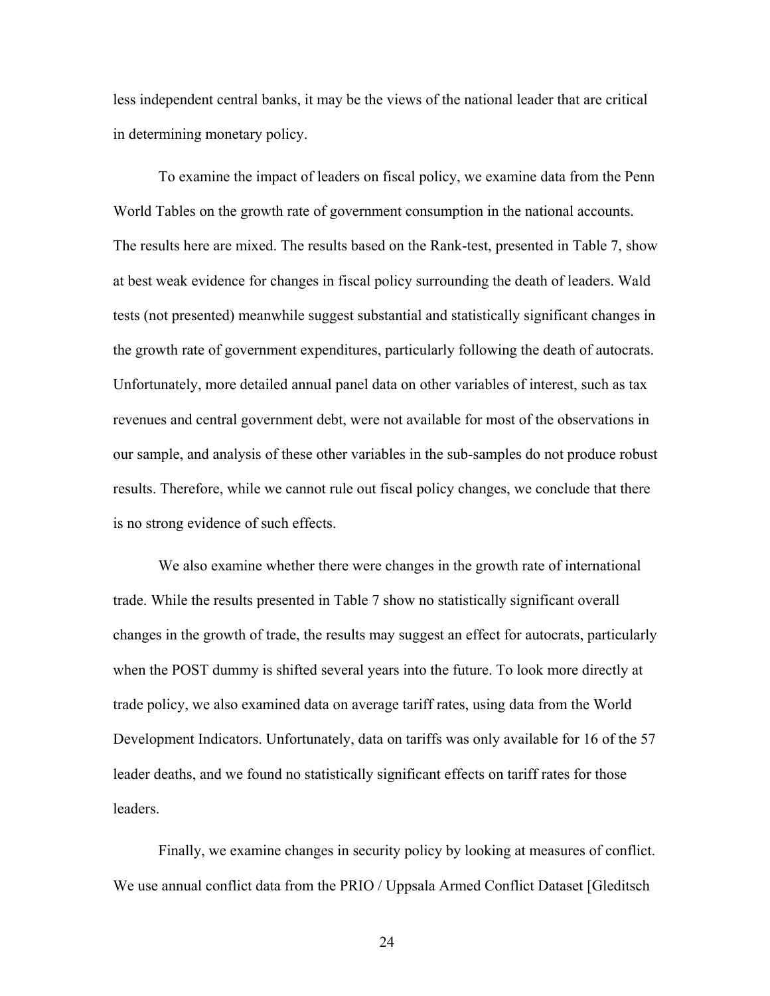less independent central banks, it may be the views of the national leader that are critical in determining monetary policy.

 To examine the impact of leaders on fiscal policy, we examine data from the Penn World Tables on the growth rate of government consumption in the national accounts. The results here are mixed. The results based on the Rank-test, presented in Table 7, show at best weak evidence for changes in fiscal policy surrounding the death of leaders. Wald tests (not presented) meanwhile suggest substantial and statistically significant changes in the growth rate of government expenditures, particularly following the death of autocrats. Unfortunately, more detailed annual panel data on other variables of interest, such as tax revenues and central government debt, were not available for most of the observations in our sample, and analysis of these other variables in the sub-samples do not produce robust results. Therefore, while we cannot rule out fiscal policy changes, we conclude that there is no strong evidence of such effects.

 We also examine whether there were changes in the growth rate of international trade. While the results presented in Table 7 show no statistically significant overall changes in the growth of trade, the results may suggest an effect for autocrats, particularly when the POST dummy is shifted several years into the future. To look more directly at trade policy, we also examined data on average tariff rates, using data from the World Development Indicators. Unfortunately, data on tariffs was only available for 16 of the 57 leader deaths, and we found no statistically significant effects on tariff rates for those leaders.

 Finally, we examine changes in security policy by looking at measures of conflict. We use annual conflict data from the PRIO / Uppsala Armed Conflict Dataset [Gleditsch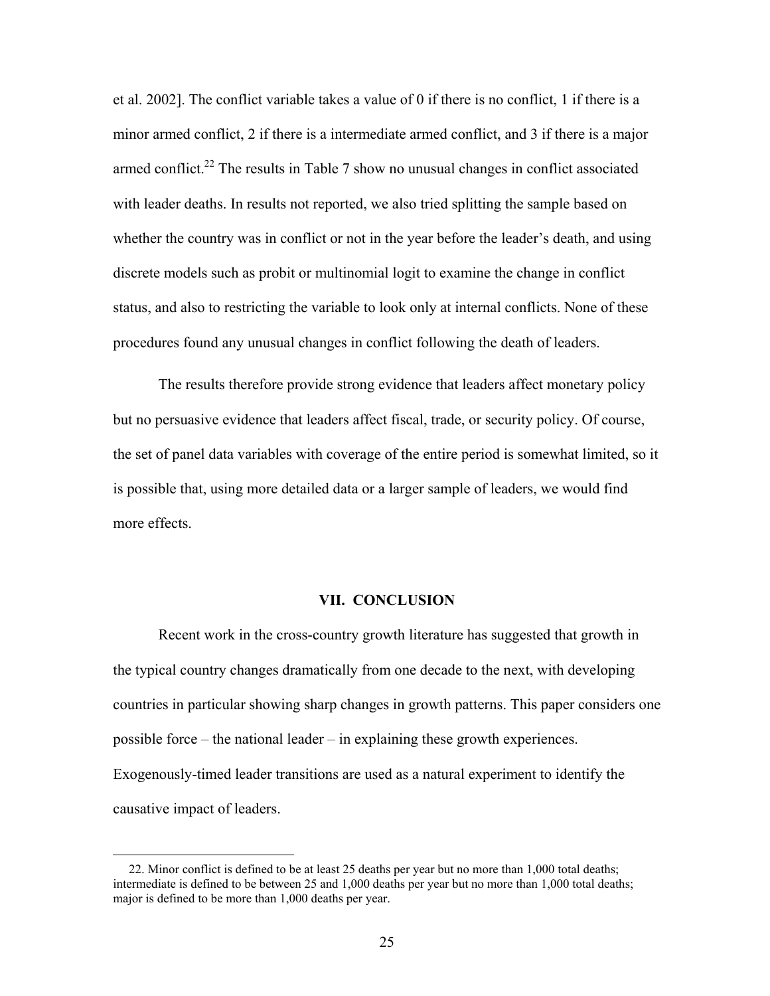et al. 2002]. The conflict variable takes a value of 0 if there is no conflict, 1 if there is a minor armed conflict, 2 if there is a intermediate armed conflict, and 3 if there is a major armed conflict.<sup>22</sup> The results in Table 7 show no unusual changes in conflict associated with leader deaths. In results not reported, we also tried splitting the sample based on whether the country was in conflict or not in the year before the leader's death, and using discrete models such as probit or multinomial logit to examine the change in conflict status, and also to restricting the variable to look only at internal conflicts. None of these procedures found any unusual changes in conflict following the death of leaders.

 The results therefore provide strong evidence that leaders affect monetary policy but no persuasive evidence that leaders affect fiscal, trade, or security policy. Of course, the set of panel data variables with coverage of the entire period is somewhat limited, so it is possible that, using more detailed data or a larger sample of leaders, we would find more effects.

### **VII. CONCLUSION**

 Recent work in the cross-country growth literature has suggested that growth in the typical country changes dramatically from one decade to the next, with developing countries in particular showing sharp changes in growth patterns. This paper considers one possible force – the national leader – in explaining these growth experiences. Exogenously-timed leader transitions are used as a natural experiment to identify the causative impact of leaders.

 <sup>22.</sup> Minor conflict is defined to be at least 25 deaths per year but no more than 1,000 total deaths; intermediate is defined to be between 25 and 1,000 deaths per year but no more than 1,000 total deaths; major is defined to be more than 1,000 deaths per year.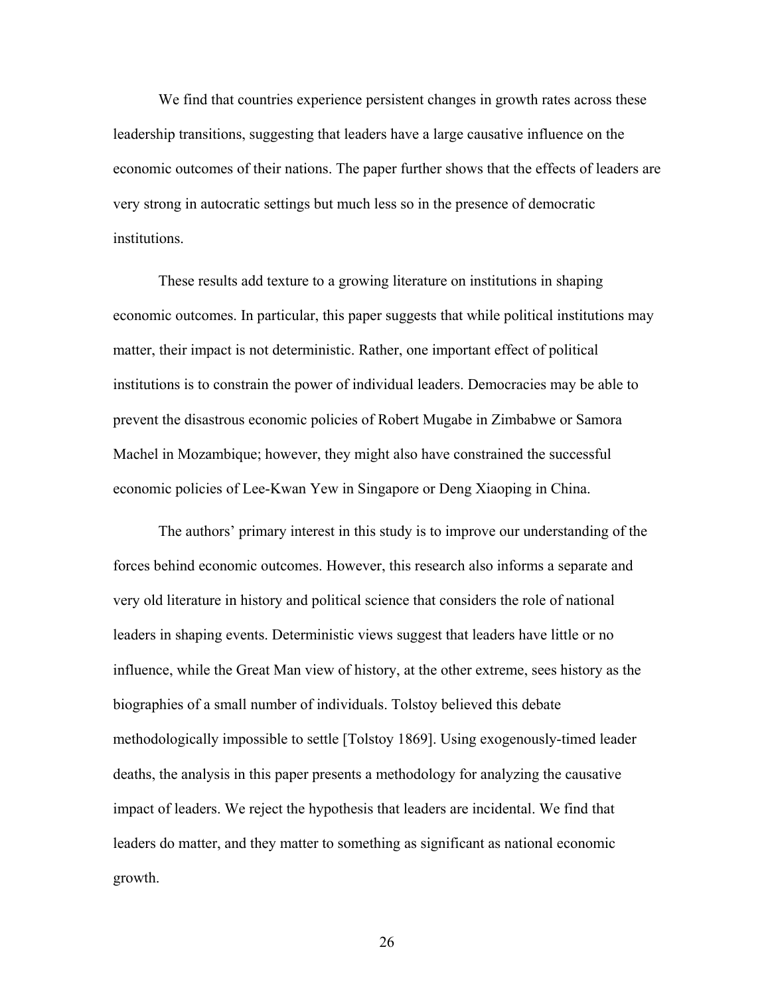We find that countries experience persistent changes in growth rates across these leadership transitions, suggesting that leaders have a large causative influence on the economic outcomes of their nations. The paper further shows that the effects of leaders are very strong in autocratic settings but much less so in the presence of democratic institutions.

 These results add texture to a growing literature on institutions in shaping economic outcomes. In particular, this paper suggests that while political institutions may matter, their impact is not deterministic. Rather, one important effect of political institutions is to constrain the power of individual leaders. Democracies may be able to prevent the disastrous economic policies of Robert Mugabe in Zimbabwe or Samora Machel in Mozambique; however, they might also have constrained the successful economic policies of Lee-Kwan Yew in Singapore or Deng Xiaoping in China.

 The authors' primary interest in this study is to improve our understanding of the forces behind economic outcomes. However, this research also informs a separate and very old literature in history and political science that considers the role of national leaders in shaping events. Deterministic views suggest that leaders have little or no influence, while the Great Man view of history, at the other extreme, sees history as the biographies of a small number of individuals. Tolstoy believed this debate methodologically impossible to settle [Tolstoy 1869]. Using exogenously-timed leader deaths, the analysis in this paper presents a methodology for analyzing the causative impact of leaders. We reject the hypothesis that leaders are incidental. We find that leaders do matter, and they matter to something as significant as national economic growth.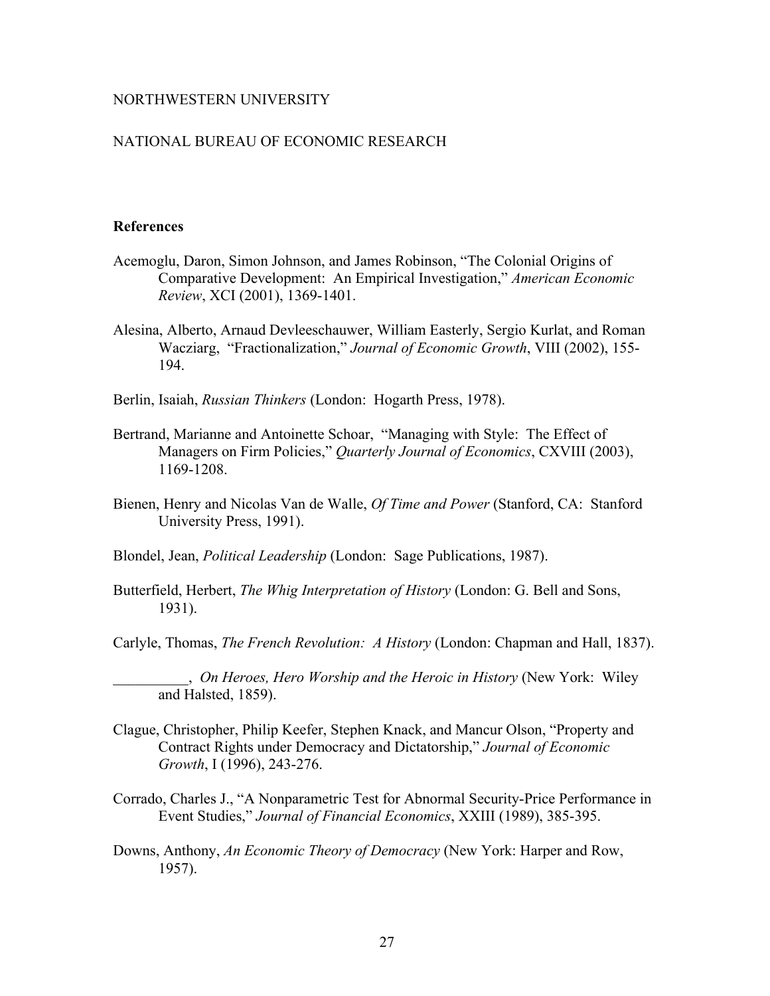### NORTHWESTERN UNIVERSITY

### NATIONAL BUREAU OF ECONOMIC RESEARCH

#### **References**

- Acemoglu, Daron, Simon Johnson, and James Robinson, "The Colonial Origins of Comparative Development: An Empirical Investigation," *American Economic Review*, XCI (2001), 1369-1401.
- Alesina, Alberto, Arnaud Devleeschauwer, William Easterly, Sergio Kurlat, and Roman Wacziarg, "Fractionalization," *Journal of Economic Growth*, VIII (2002), 155- 194.
- Berlin, Isaiah, *Russian Thinkers* (London: Hogarth Press, 1978).
- Bertrand, Marianne and Antoinette Schoar, "Managing with Style: The Effect of Managers on Firm Policies," *Quarterly Journal of Economics*, CXVIII (2003), 1169-1208.
- Bienen, Henry and Nicolas Van de Walle, *Of Time and Power* (Stanford, CA: Stanford University Press, 1991).
- Blondel, Jean, *Political Leadership* (London: Sage Publications, 1987).
- Butterfield, Herbert, *The Whig Interpretation of History* (London: G. Bell and Sons, 1931).
- Carlyle, Thomas, *The French Revolution: A History* (London: Chapman and Hall, 1837).

\_\_\_\_\_\_\_\_\_\_, *On Heroes, Hero Worship and the Heroic in History* (New York: Wiley and Halsted, 1859).

- Clague, Christopher, Philip Keefer, Stephen Knack, and Mancur Olson, "Property and Contract Rights under Democracy and Dictatorship," *Journal of Economic Growth*, I (1996), 243-276.
- Corrado, Charles J., "A Nonparametric Test for Abnormal Security-Price Performance in Event Studies," *Journal of Financial Economics*, XXIII (1989), 385-395.
- Downs, Anthony, *An Economic Theory of Democracy* (New York: Harper and Row, 1957).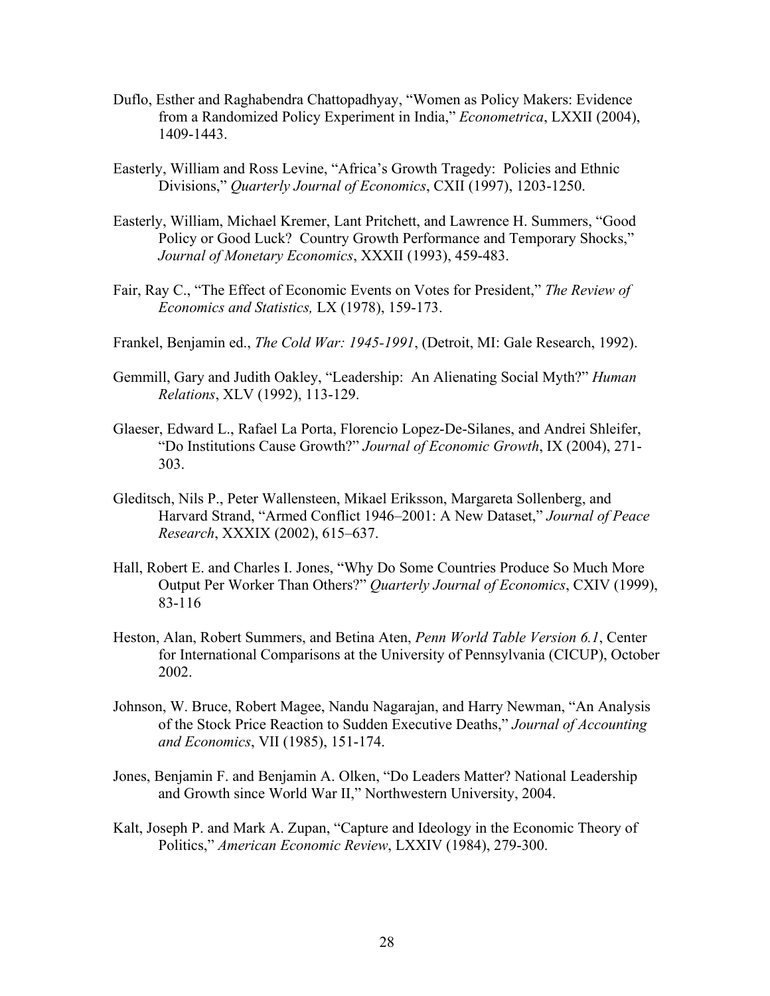- Duflo, Esther and Raghabendra Chattopadhyay, "Women as Policy Makers: Evidence from a Randomized Policy Experiment in India," *Econometrica*, LXXII (2004), 1409-1443.
- Easterly, William and Ross Levine, "Africa's Growth Tragedy: Policies and Ethnic Divisions," *Quarterly Journal of Economics*, CXII (1997), 1203-1250.
- Easterly, William, Michael Kremer, Lant Pritchett, and Lawrence H. Summers, "Good Policy or Good Luck? Country Growth Performance and Temporary Shocks," *Journal of Monetary Economics*, XXXII (1993), 459-483.
- Fair, Ray C., "The Effect of Economic Events on Votes for President," *The Review of Economics and Statistics,* LX (1978), 159-173.
- Frankel, Benjamin ed., *The Cold War: 1945-1991*, (Detroit, MI: Gale Research, 1992).
- Gemmill, Gary and Judith Oakley, "Leadership: An Alienating Social Myth?" *Human Relations*, XLV (1992), 113-129.
- Glaeser, Edward L., Rafael La Porta, Florencio Lopez-De-Silanes, and Andrei Shleifer, "Do Institutions Cause Growth?" *Journal of Economic Growth*, IX (2004), 271- 303.
- Gleditsch, Nils P., Peter Wallensteen, Mikael Eriksson, Margareta Sollenberg, and Harvard Strand, "Armed Conflict 1946–2001: A New Dataset," *Journal of Peace Research*, XXXIX (2002), 615–637.
- Hall, Robert E. and Charles I. Jones, "Why Do Some Countries Produce So Much More Output Per Worker Than Others?" *Quarterly Journal of Economics*, CXIV (1999), 83-116
- Heston, Alan, Robert Summers, and Betina Aten, *Penn World Table Version 6.1*, Center for International Comparisons at the University of Pennsylvania (CICUP), October 2002.
- Johnson, W. Bruce, Robert Magee, Nandu Nagarajan, and Harry Newman, "An Analysis of the Stock Price Reaction to Sudden Executive Deaths," *Journal of Accounting and Economics*, VII (1985), 151-174.
- Jones, Benjamin F. and Benjamin A. Olken, "Do Leaders Matter? National Leadership and Growth since World War II," Northwestern University, 2004.
- Kalt, Joseph P. and Mark A. Zupan, "Capture and Ideology in the Economic Theory of Politics," *American Economic Review*, LXXIV (1984), 279-300.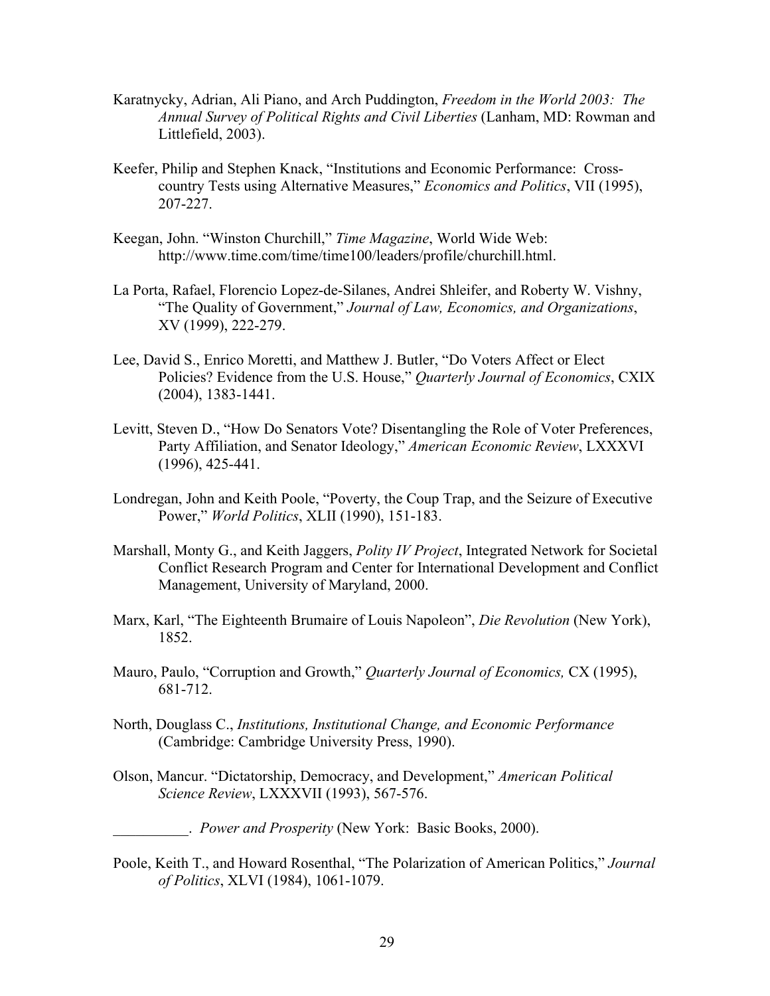- Karatnycky, Adrian, Ali Piano, and Arch Puddington, *Freedom in the World 2003: The Annual Survey of Political Rights and Civil Liberties* (Lanham, MD: Rowman and Littlefield, 2003).
- Keefer, Philip and Stephen Knack, "Institutions and Economic Performance: Crosscountry Tests using Alternative Measures," *Economics and Politics*, VII (1995), 207-227.
- Keegan, John. "Winston Churchill," *Time Magazine*, World Wide Web: http://www.time.com/time/time100/leaders/profile/churchill.html.
- La Porta, Rafael, Florencio Lopez-de-Silanes, Andrei Shleifer, and Roberty W. Vishny, "The Quality of Government," *Journal of Law, Economics, and Organizations*, XV (1999), 222-279.
- Lee, David S., Enrico Moretti, and Matthew J. Butler, "Do Voters Affect or Elect Policies? Evidence from the U.S. House," *Quarterly Journal of Economics*, CXIX (2004), 1383-1441.
- Levitt, Steven D., "How Do Senators Vote? Disentangling the Role of Voter Preferences, Party Affiliation, and Senator Ideology," *American Economic Review*, LXXXVI (1996), 425-441.
- Londregan, John and Keith Poole, "Poverty, the Coup Trap, and the Seizure of Executive Power," *World Politics*, XLII (1990), 151-183.
- Marshall, Monty G., and Keith Jaggers, *Polity IV Project*, Integrated Network for Societal Conflict Research Program and Center for International Development and Conflict Management, University of Maryland, 2000.
- Marx, Karl, "The Eighteenth Brumaire of Louis Napoleon", *Die Revolution* (New York), 1852.
- Mauro, Paulo, "Corruption and Growth," *Quarterly Journal of Economics,* CX (1995), 681-712.
- North, Douglass C., *Institutions, Institutional Change, and Economic Performance* (Cambridge: Cambridge University Press, 1990).
- Olson, Mancur. "Dictatorship, Democracy, and Development," *American Political Science Review*, LXXXVII (1993), 567-576.

\_\_\_\_\_\_\_\_\_\_. *Power and Prosperity* (New York: Basic Books, 2000).

Poole, Keith T., and Howard Rosenthal, "The Polarization of American Politics," *Journal of Politics*, XLVI (1984), 1061-1079.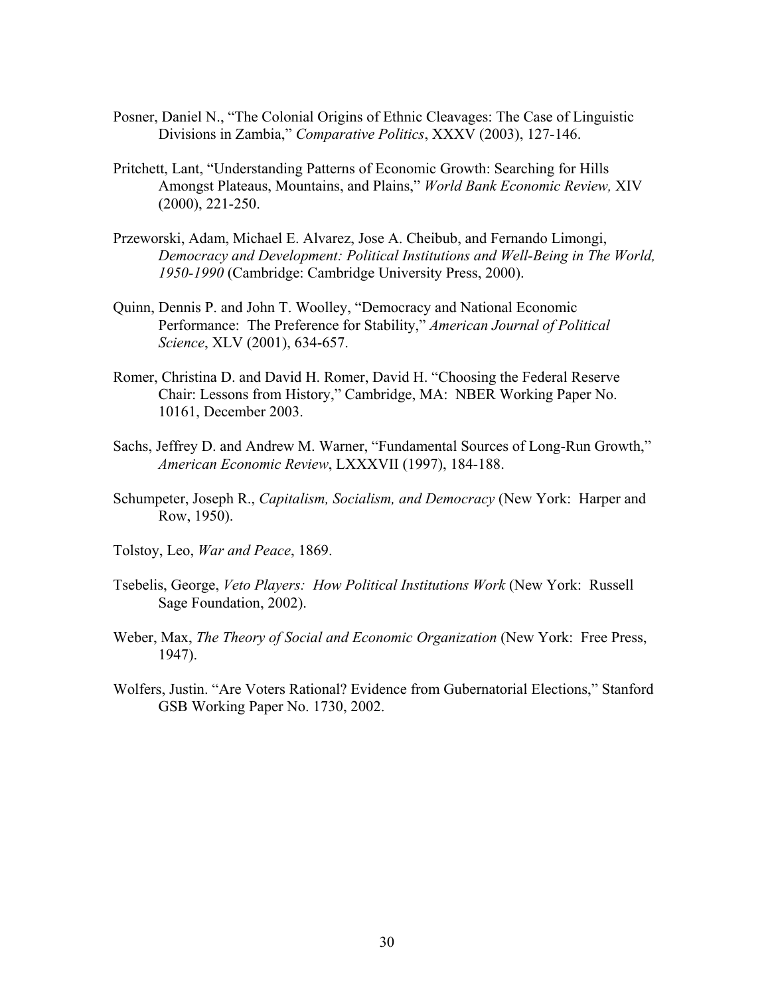- Posner, Daniel N., "The Colonial Origins of Ethnic Cleavages: The Case of Linguistic Divisions in Zambia," *Comparative Politics*, XXXV (2003), 127-146.
- Pritchett, Lant, "Understanding Patterns of Economic Growth: Searching for Hills Amongst Plateaus, Mountains, and Plains," *World Bank Economic Review,* XIV (2000), 221-250.
- Przeworski, Adam, Michael E. Alvarez, Jose A. Cheibub, and Fernando Limongi, *Democracy and Development: Political Institutions and Well-Being in The World, 1950-1990* (Cambridge: Cambridge University Press, 2000).
- Quinn, Dennis P. and John T. Woolley, "Democracy and National Economic Performance: The Preference for Stability," *American Journal of Political Science*, XLV (2001), 634-657.
- Romer, Christina D. and David H. Romer, David H. "Choosing the Federal Reserve Chair: Lessons from History," Cambridge, MA: NBER Working Paper No. 10161, December 2003.
- Sachs, Jeffrey D. and Andrew M. Warner, "Fundamental Sources of Long-Run Growth," *American Economic Review*, LXXXVII (1997), 184-188.
- Schumpeter, Joseph R., *Capitalism, Socialism, and Democracy* (New York: Harper and Row, 1950).
- Tolstoy, Leo, *War and Peace*, 1869.
- Tsebelis, George, *Veto Players: How Political Institutions Work* (New York: Russell Sage Foundation, 2002).
- Weber, Max, *The Theory of Social and Economic Organization* (New York: Free Press, 1947).
- Wolfers, Justin. "Are Voters Rational? Evidence from Gubernatorial Elections," Stanford GSB Working Paper No. 1730, 2002.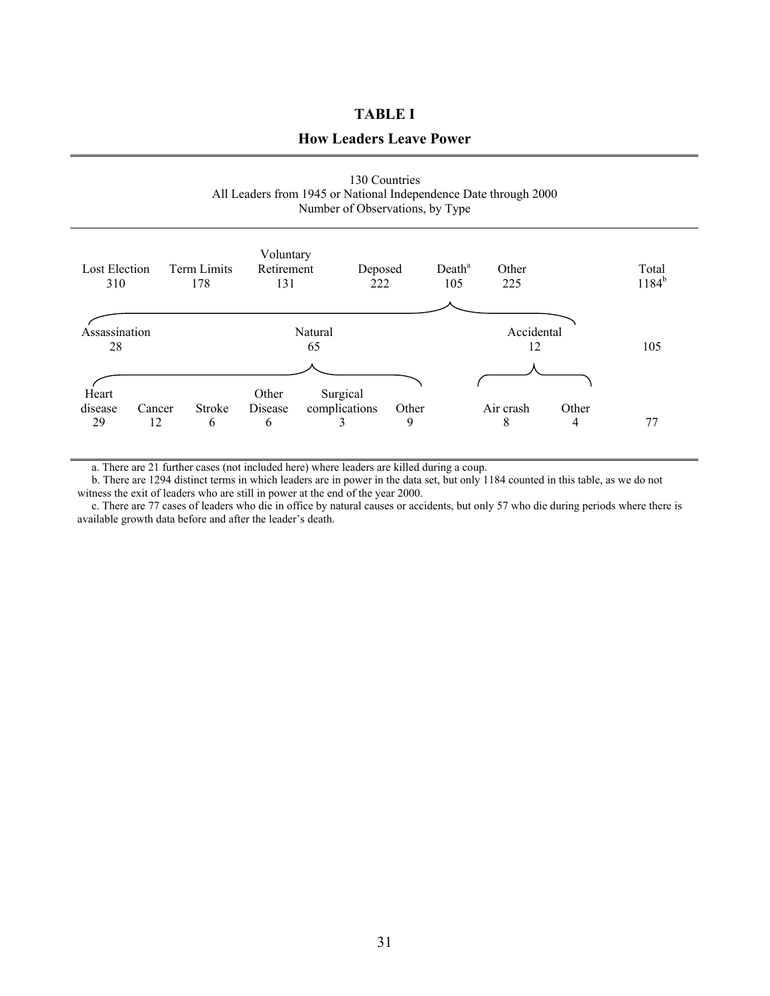### **TABLE I**

### **How Leaders Leave Power**

| 130 Countries                                                    |
|------------------------------------------------------------------|
| All Leaders from 1945 or National Independence Date through 2000 |
| Number of Observations, by Type                                  |

| Lost Election<br>310   |              | <b>Term Limits</b><br>178 | Voluntary<br>Retirement<br>131 | Deposed<br>222                 |            | Death <sup>a</sup><br>105 | Other<br>225     |            | Total<br>$1184^{b}$ |
|------------------------|--------------|---------------------------|--------------------------------|--------------------------------|------------|---------------------------|------------------|------------|---------------------|
| Assassination<br>28    |              |                           |                                | Natural<br>65                  |            |                           | Accidental<br>12 |            | 105                 |
| Heart<br>disease<br>29 | Cancer<br>12 | <b>Stroke</b><br>6        | Other<br>Disease<br>6          | Surgical<br>complications<br>3 | Other<br>9 |                           | Air crash<br>8   | Other<br>4 | 77                  |

a. There are 21 further cases (not included here) where leaders are killed during a coup.

 b. There are 1294 distinct terms in which leaders are in power in the data set, but only 1184 counted in this table, as we do not witness the exit of leaders who are still in power at the end of the year 2000.

 c. There are 77 cases of leaders who die in office by natural causes or accidents, but only 57 who die during periods where there is available growth data before and after the leader's death.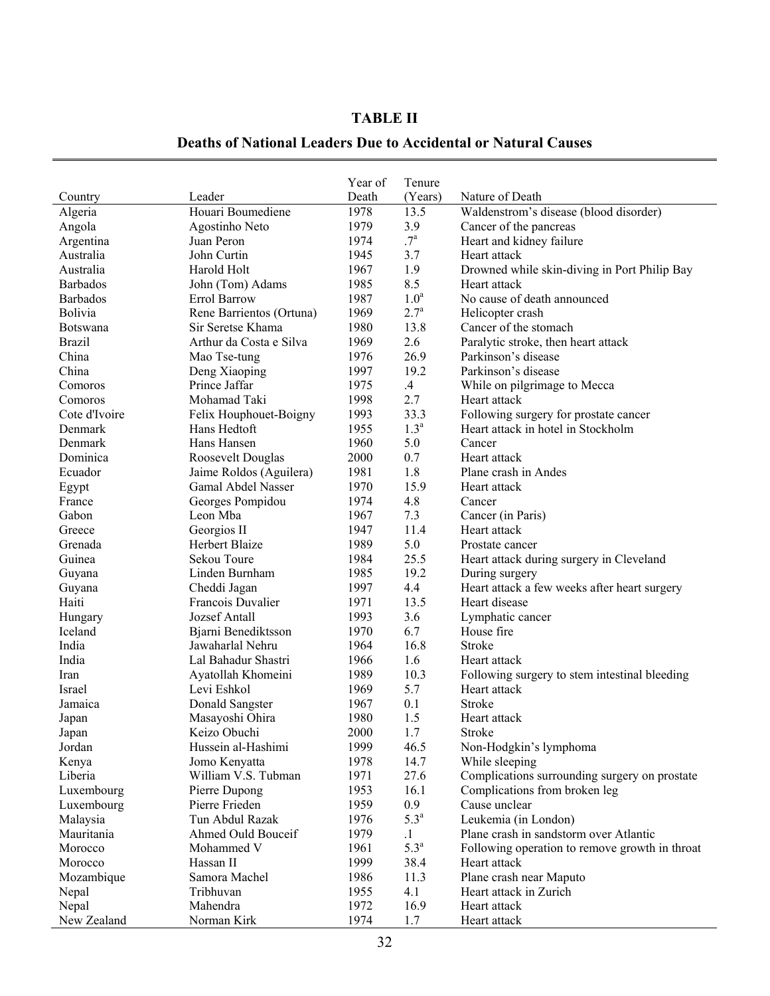# **TABLE II**

## **Deaths of National Leaders Due to Accidental or Natural Causes**

|                 |                          | Year of | Tenure           |                                                |
|-----------------|--------------------------|---------|------------------|------------------------------------------------|
| Country         | Leader                   | Death   | (Years)          | Nature of Death                                |
| Algeria         | Houari Boumediene        | 1978    | 13.5             | Waldenstrom's disease (blood disorder)         |
| Angola          | Agostinho Neto           | 1979    | 3.9              | Cancer of the pancreas                         |
| Argentina       | Juan Peron               | 1974    | .7 <sup>a</sup>  | Heart and kidney failure                       |
| Australia       | John Curtin              | 1945    | 3.7              | Heart attack                                   |
| Australia       | Harold Holt              | 1967    | 1.9              | Drowned while skin-diving in Port Philip Bay   |
| <b>Barbados</b> | John (Tom) Adams         | 1985    | 8.5              | Heart attack                                   |
| <b>Barbados</b> | Errol Barrow             | 1987    | 1.0 <sup>a</sup> | No cause of death announced                    |
| <b>Bolivia</b>  | Rene Barrientos (Ortuna) | 1969    | $2.7^{a}$        | Helicopter crash                               |
| <b>Botswana</b> | Sir Seretse Khama        | 1980    | 13.8             | Cancer of the stomach                          |
| <b>Brazil</b>   | Arthur da Costa e Silva  | 1969    | 2.6              | Paralytic stroke, then heart attack            |
| China           | Mao Tse-tung             | 1976    | 26.9             | Parkinson's disease                            |
| China           | Deng Xiaoping            | 1997    | 19.2             | Parkinson's disease                            |
| Comoros         | Prince Jaffar            | 1975    | .4               | While on pilgrimage to Mecca                   |
| Comoros         | Mohamad Taki             | 1998    | 2.7              | Heart attack                                   |
| Cote d'Ivoire   | Felix Houphouet-Boigny   | 1993    | 33.3             | Following surgery for prostate cancer          |
| Denmark         | Hans Hedtoft             | 1955    | 1.3 <sup>a</sup> | Heart attack in hotel in Stockholm             |
| Denmark         | Hans Hansen              | 1960    | 5.0              | Cancer                                         |
| Dominica        | Roosevelt Douglas        | 2000    | 0.7              | Heart attack                                   |
| Ecuador         | Jaime Roldos (Aguilera)  | 1981    | 1.8              | Plane crash in Andes                           |
| Egypt           | Gamal Abdel Nasser       | 1970    | 15.9             | Heart attack                                   |
| France          | Georges Pompidou         | 1974    | 4.8              | Cancer                                         |
| Gabon           | Leon Mba                 | 1967    | 7.3              | Cancer (in Paris)                              |
| Greece          | Georgios II              | 1947    | 11.4             | Heart attack                                   |
| Grenada         | <b>Herbert Blaize</b>    | 1989    | 5.0              | Prostate cancer                                |
| Guinea          | Sekou Toure              | 1984    | 25.5             | Heart attack during surgery in Cleveland       |
| Guyana          | Linden Burnham           | 1985    | 19.2             | During surgery                                 |
| Guyana          | Cheddi Jagan             | 1997    | 4.4              | Heart attack a few weeks after heart surgery   |
| Haiti           | Francois Duvalier        | 1971    | 13.5             | Heart disease                                  |
| Hungary         | <b>Jozsef Antall</b>     | 1993    | 3.6              | Lymphatic cancer                               |
| Iceland         | Bjarni Benediktsson      | 1970    | 6.7              | House fire                                     |
| India           | Jawaharlal Nehru         | 1964    | 16.8             | Stroke                                         |
| India           | Lal Bahadur Shastri      | 1966    | 1.6              | Heart attack                                   |
| Iran            | Ayatollah Khomeini       | 1989    | 10.3             | Following surgery to stem intestinal bleeding  |
| <b>Israel</b>   | Levi Eshkol              | 1969    | 5.7              | Heart attack                                   |
| Jamaica         | Donald Sangster          | 1967    | 0.1              | <b>Stroke</b>                                  |
| Japan           | Masayoshi Ohira          | 1980    | 1.5              | Heart attack                                   |
| Japan           | Keizo Obuchi             | 2000    | 1.7              | Stroke                                         |
| Jordan          | Hussein al-Hashimi       | 1999    | 46.5             | Non-Hodgkin's lymphoma                         |
| Kenya           | Jomo Kenyatta            | 1978    | 14.7             | While sleeping                                 |
| Liberia         | William V.S. Tubman      | 1971    | 27.6             | Complications surrounding surgery on prostate  |
| Luxembourg      | Pierre Dupong            | 1953    | 16.1             | Complications from broken leg                  |
| Luxembourg      | Pierre Frieden           | 1959    | 0.9              | Cause unclear                                  |
| Malaysia        | Tun Abdul Razak          | 1976    | 5.3 <sup>a</sup> | Leukemia (in London)                           |
| Mauritania      | Ahmed Ould Bouceif       | 1979    | $\cdot$ 1        | Plane crash in sandstorm over Atlantic         |
| Morocco         | Mohammed V               | 1961    | 5.3 <sup>a</sup> | Following operation to remove growth in throat |
| Morocco         | Hassan II                | 1999    | 38.4             | Heart attack                                   |
| Mozambique      | Samora Machel            | 1986    | 11.3             | Plane crash near Maputo                        |
| Nepal           | Tribhuvan                | 1955    | 4.1              | Heart attack in Zurich                         |
| Nepal           | Mahendra                 | 1972    | 16.9             | Heart attack                                   |
| New Zealand     | Norman Kirk              | 1974    | 1.7              | Heart attack                                   |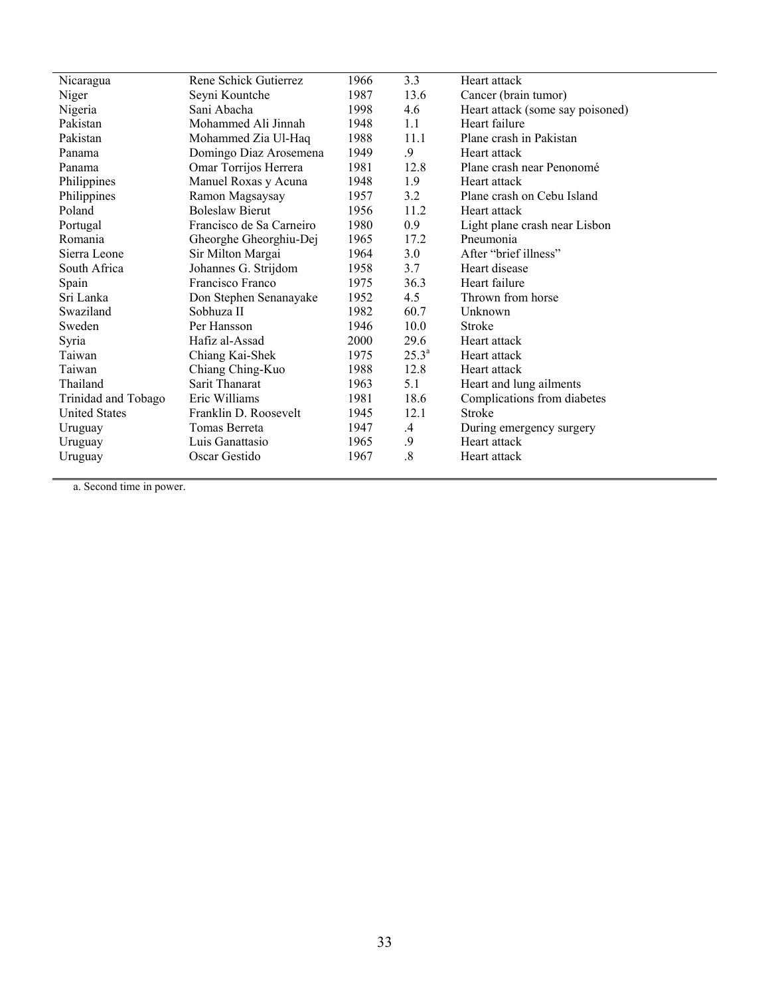| Nicaragua            | Rene Schick Gutierrez    | 1966 | 3.3            | Heart attack                     |
|----------------------|--------------------------|------|----------------|----------------------------------|
| Niger                | Seyni Kountche           | 1987 | 13.6           | Cancer (brain tumor)             |
| Nigeria              | Sani Abacha              | 1998 | 4.6            | Heart attack (some say poisoned) |
| Pakistan             | Mohammed Ali Jinnah      | 1948 | 1.1            | Heart failure                    |
| Pakistan             | Mohammed Zia Ul-Haq      | 1988 | 11.1           | Plane crash in Pakistan          |
| Panama               | Domingo Diaz Arosemena   | 1949 | 9              | Heart attack                     |
| Panama               | Omar Torrijos Herrera    | 1981 | 12.8           | Plane crash near Penonomé        |
| Philippines          | Manuel Roxas y Acuna     | 1948 | 1.9            | Heart attack                     |
| Philippines          | Ramon Magsaysay          | 1957 | 3.2            | Plane crash on Cebu Island       |
| Poland               | <b>Boleslaw Bierut</b>   | 1956 | 11.2           | Heart attack                     |
| Portugal             | Francisco de Sa Carneiro | 1980 | 0.9            | Light plane crash near Lisbon    |
| Romania              | Gheorghe Gheorghiu-Dej   | 1965 | 17.2           | Pneumonia                        |
| Sierra Leone         | Sir Milton Margai        | 1964 | 3.0            | After "brief illness"            |
| South Africa         | Johannes G. Strijdom     | 1958 | 3.7            | Heart disease                    |
| Spain                | Francisco Franco         | 1975 | 36.3           | Heart failure                    |
| Sri Lanka            | Don Stephen Senanayake   | 1952 | 4.5            | Thrown from horse                |
| Swaziland            | Sobhuza II               | 1982 | 60.7           | Unknown                          |
| Sweden               | Per Hansson              | 1946 | 10.0           | Stroke                           |
| Syria                | Hafiz al-Assad           | 2000 | 29.6           | Heart attack                     |
| Taiwan               | Chiang Kai-Shek          | 1975 | $25.3^{\circ}$ | Heart attack                     |
| Taiwan               | Chiang Ching-Kuo         | 1988 | 12.8           | Heart attack                     |
| Thailand             | Sarit Thanarat           | 1963 | 5.1            | Heart and lung ailments          |
| Trinidad and Tobago  | Eric Williams            | 1981 | 18.6           | Complications from diabetes      |
| <b>United States</b> | Franklin D. Roosevelt    | 1945 | 12.1           | Stroke                           |
| Uruguay              | Tomas Berreta            | 1947 | $\mathcal{A}$  | During emergency surgery         |
| Uruguay              | Luis Ganattasio          | 1965 | .9             | Heart attack                     |
| Uruguay              | Oscar Gestido            | 1967 | $\cdot$ 8      | Heart attack                     |
|                      |                          |      |                |                                  |

 $\sim$ 

a. Second time in power.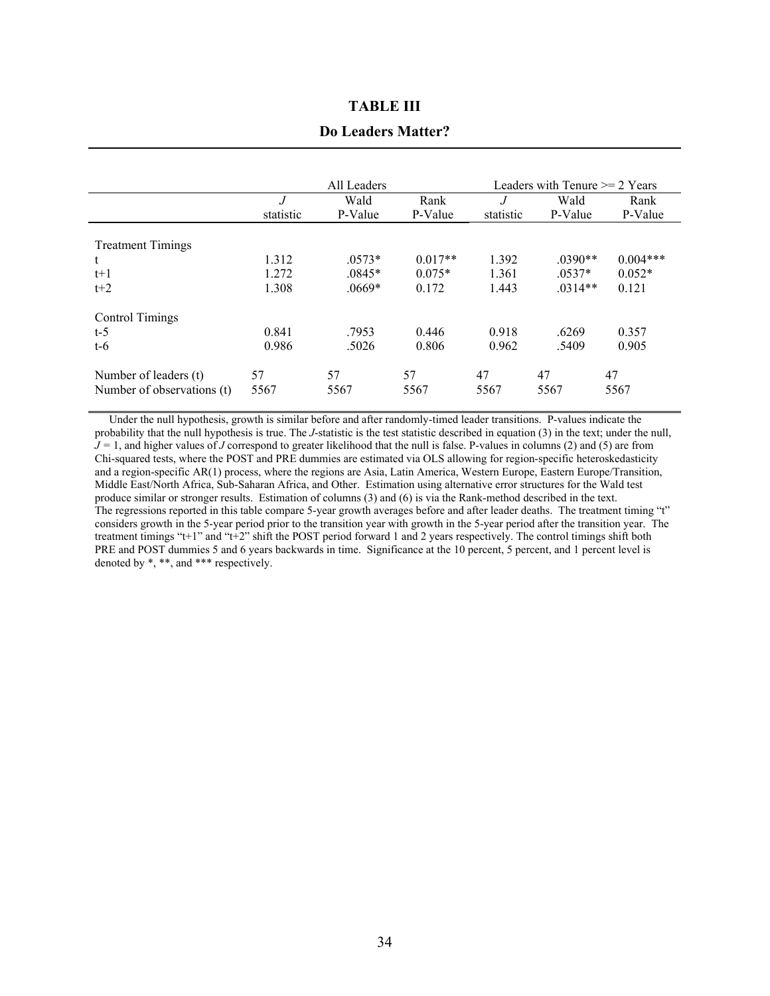### **TABLE III**

#### **Do Leaders Matter?**

|                                                     |                | All Leaders |            | Leaders with Tenure $\geq$ 2 Years |            |            |  |
|-----------------------------------------------------|----------------|-------------|------------|------------------------------------|------------|------------|--|
|                                                     | $\overline{J}$ | Wald        | Rank       | $\overline{J}$                     | Wald       | Rank       |  |
|                                                     | statistic      | P-Value     | P-Value    | statistic                          | P-Value    | P-Value    |  |
| <b>Treatment Timings</b>                            |                |             |            |                                    |            |            |  |
| t                                                   | 1.312          | $.0573*$    | $0.017**$  | 1.392                              | $.0390**$  | $0.004***$ |  |
| $t+1$                                               | 1.272          | $.0845*$    | $0.075*$   | 1.361                              | $.0537*$   | $0.052*$   |  |
| $t+2$                                               | 1.308          | $.0669*$    | 0.172      | 1.443                              | $.0314**$  | 0.121      |  |
| Control Timings                                     |                |             |            |                                    |            |            |  |
| $t-5$                                               | 0.841          | .7953       | 0.446      | 0.918                              | .6269      | 0.357      |  |
| $t-6$                                               | 0.986          | .5026       | 0.806      | 0.962                              | .5409      | 0.905      |  |
| Number of leaders (t)<br>Number of observations (t) | 57<br>5567     | 57<br>5567  | 57<br>5567 | 47<br>5567                         | 47<br>5567 | 47<br>5567 |  |

 Under the null hypothesis, growth is similar before and after randomly-timed leader transitions. P-values indicate the probability that the null hypothesis is true. The *J*-statistic is the test statistic described in equation (3) in the text; under the null,  $J = 1$ , and higher values of *J* correspond to greater likelihood that the null is false. P-values in columns (2) and (5) are from Chi-squared tests, where the POST and PRE dummies are estimated via OLS allowing for region-specific heteroskedasticity and a region-specific AR(1) process, where the regions are Asia, Latin America, Western Europe, Eastern Europe/Transition, Middle East/North Africa, Sub-Saharan Africa, and Other. Estimation using alternative error structures for the Wald test produce similar or stronger results. Estimation of columns (3) and (6) is via the Rank-method described in the text. The regressions reported in this table compare 5-year growth averages before and after leader deaths. The treatment timing "t" considers growth in the 5-year period prior to the transition year with growth in the 5-year period after the transition year. The treatment timings "t+1" and "t+2" shift the POST period forward 1 and 2 years respectively. The control timings shift both PRE and POST dummies 5 and 6 years backwards in time. Significance at the 10 percent, 5 percent, and 1 percent level is denoted by \*, \*\*, and \*\*\* respectively.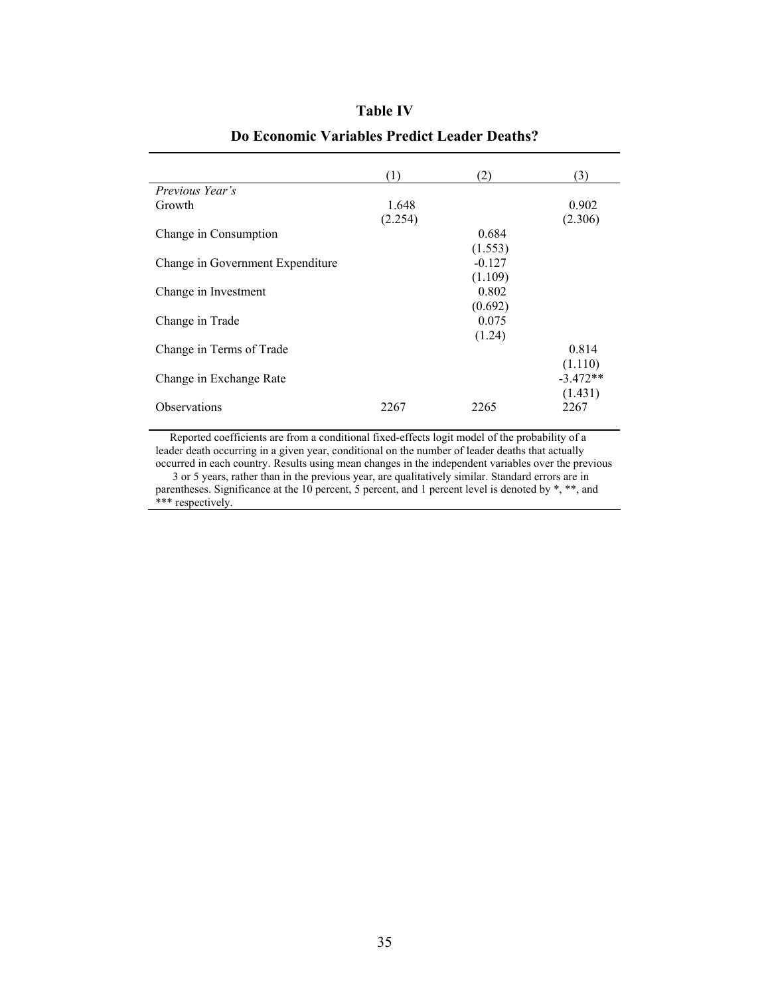|                                  | (1)     | (2)      | (3)        |
|----------------------------------|---------|----------|------------|
| Previous Year's                  |         |          |            |
| Growth                           | 1.648   |          | 0.902      |
|                                  | (2.254) |          | (2.306)    |
| Change in Consumption            |         | 0.684    |            |
|                                  |         | (1.553)  |            |
| Change in Government Expenditure |         | $-0.127$ |            |
|                                  |         | (1.109)  |            |
| Change in Investment             |         | 0.802    |            |
|                                  |         | (0.692)  |            |
| Change in Trade                  |         | 0.075    |            |
|                                  |         | (1.24)   |            |
| Change in Terms of Trade         |         |          | 0.814      |
|                                  |         |          | (1.110)    |
| Change in Exchange Rate          |         |          | $-3.472**$ |
|                                  |         |          | (1.431)    |
| <b>Observations</b>              | 2267    | 2265     | 2267       |

# **Table IV Do Economic Variables Predict Leader Deaths?**

 Reported coefficients are from a conditional fixed-effects logit model of the probability of a leader death occurring in a given year, conditional on the number of leader deaths that actually occurred in each country. Results using mean changes in the independent variables over the previous 3 or 5 years, rather than in the previous year, are qualitatively similar. Standard errors are in

parentheses. Significance at the 10 percent, 5 percent, and 1 percent level is denoted by \*, \*\*, and \*\*\* respectively.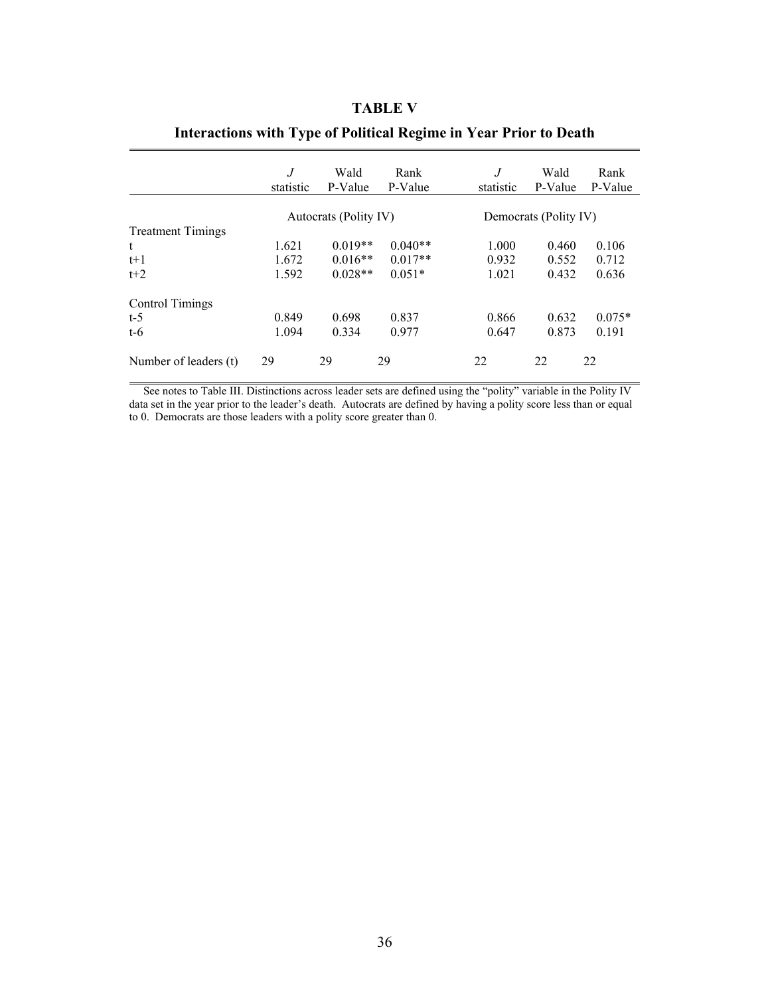### **TABLE V**

|                          | J<br>statistic | Wald<br>P-Value       | Rank<br>P-Value | .J<br>statistic       | Wald<br>P-Value | Rank<br>P-Value |  |
|--------------------------|----------------|-----------------------|-----------------|-----------------------|-----------------|-----------------|--|
|                          |                | Autocrats (Polity IV) |                 | Democrats (Polity IV) |                 |                 |  |
| <b>Treatment Timings</b> |                |                       |                 |                       |                 |                 |  |
| t                        | 1.621          | $0.019**$             | $0.040**$       | 1.000                 | 0.460           | 0.106           |  |
| $t+1$                    | 1.672          | $0.016**$             | $0.017**$       | 0.932                 | 0.552           | 0.712           |  |
| $t+2$                    | 1.592          | $0.028**$             | $0.051*$        | 1.021                 | 0.432           | 0.636           |  |
| Control Timings          |                |                       |                 |                       |                 |                 |  |
| $t-5$                    | 0.849          | 0.698                 | 0.837           | 0.866                 | 0.632           | $0.075*$        |  |
| $t-6$                    | 1.094          | 0.334                 | 0.977           | 0.647                 | 0.873           | 0.191           |  |
| Number of leaders (t)    | 29             | 29                    | 29              | 22                    | 22              | 22              |  |

### **Interactions with Type of Political Regime in Year Prior to Death**

 See notes to Table III. Distinctions across leader sets are defined using the "polity" variable in the Polity IV data set in the year prior to the leader's death. Autocrats are defined by having a polity score less than or equal to 0. Democrats are those leaders with a polity score greater than 0.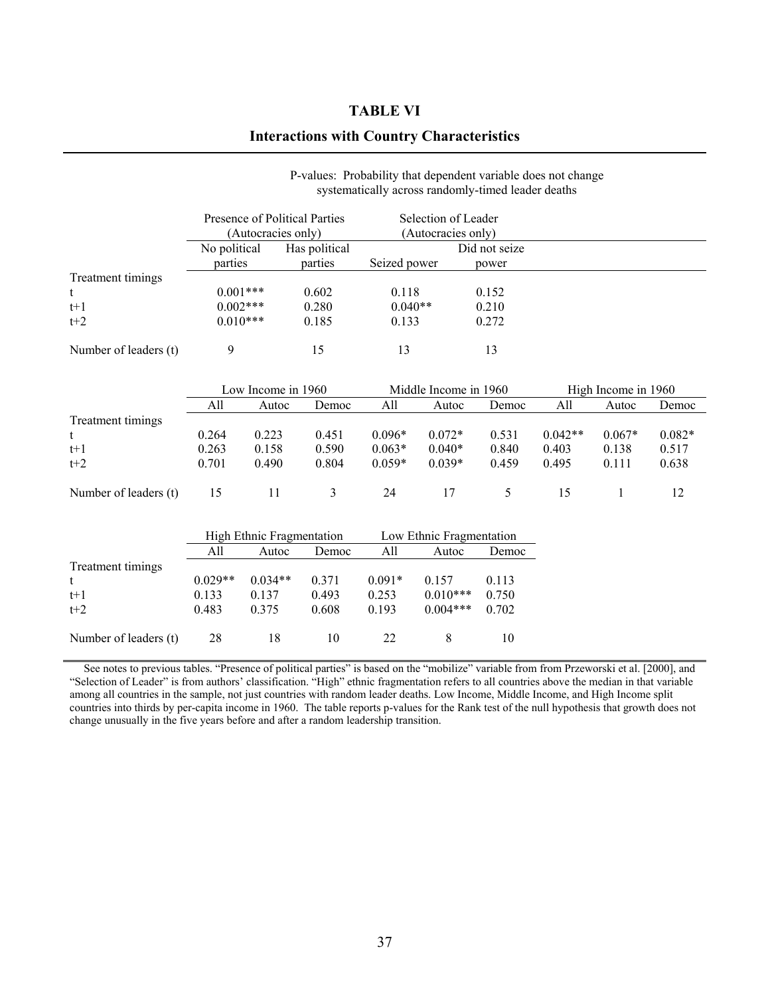### **TABLE VI**

### **Interactions with Country Characteristics**

|                       | Presence of Political Parties<br>(Autocracies only) |         | Selection of Leader<br>(Autocracies only) |               |  |
|-----------------------|-----------------------------------------------------|---------|-------------------------------------------|---------------|--|
|                       | No political<br>Has political                       |         |                                           | Did not seize |  |
|                       | parties                                             | parties | Seized power                              | power         |  |
| Treatment timings     |                                                     |         |                                           |               |  |
| t                     | $0.001***$                                          | 0.602   | 0.118                                     | 0.152         |  |
| $t+1$                 | $0.002***$                                          | 0.280   | $0.040**$                                 | 0.210         |  |
| $t+2$                 | $0.010***$                                          | 0.185   | 0.133                                     | 0.272         |  |
| Number of leaders (t) | Q                                                   | 15      | 13                                        | 13            |  |

#### P-values: Probability that dependent variable does not change systematically across randomly-timed leader deaths

|                       | Low Income in 1960 |       |       |          | Middle Income in 1960 |       |           | High Income in 1960 |          |  |
|-----------------------|--------------------|-------|-------|----------|-----------------------|-------|-----------|---------------------|----------|--|
|                       | All                | Autoc | Democ | All      | Autoc                 | Democ | All       | Autoc               | Democ    |  |
| Treatment timings     |                    |       |       |          |                       |       |           |                     |          |  |
| t                     | 0.264              | 0.223 | 0.451 | $0.096*$ | $0.072*$              | 0.531 | $0.042**$ | $0.067*$            | $0.082*$ |  |
| $t+1$                 | 0.263              | 0.158 | 0.590 | $0.063*$ | $0.040*$              | 0.840 | 0.403     | 0.138               | 0.517    |  |
| $t+2$                 | 0.701              | 0.490 | 0.804 | $0.059*$ | $0.039*$              | 0.459 | 0.495     | 0.111               | 0.638    |  |
| Number of leaders (t) | 15                 |       |       | 24       |                       |       |           |                     |          |  |

|                       |           | High Ethnic Fragmentation |       | Low Ethnic Fragmentation |            |       |
|-----------------------|-----------|---------------------------|-------|--------------------------|------------|-------|
|                       | All       | Autoc                     | Democ | All                      | Autoc      | Democ |
| Treatment timings     |           |                           |       |                          |            |       |
|                       | $0.029**$ | $0.034**$                 | 0.371 | $0.091*$                 | 0.157      | 0.113 |
| $t+1$                 | 0.133     | 0.137                     | 0.493 | 0.253                    | $0.010***$ | 0.750 |
| $t+2$                 | 0.483     | 0.375                     | 0.608 | 0.193                    | $0.004***$ | 0.702 |
|                       |           |                           |       |                          |            |       |
| Number of leaders (t) | 28        | 18                        | 10    | 22                       | 8          | 10    |

 See notes to previous tables. "Presence of political parties" is based on the "mobilize" variable from from Przeworski et al. [2000], and "Selection of Leader" is from authors' classification. "High" ethnic fragmentation refers to all countries above the median in that variable among all countries in the sample, not just countries with random leader deaths. Low Income, Middle Income, and High Income split countries into thirds by per-capita income in 1960. The table reports p-values for the Rank test of the null hypothesis that growth does not change unusually in the five years before and after a random leadership transition.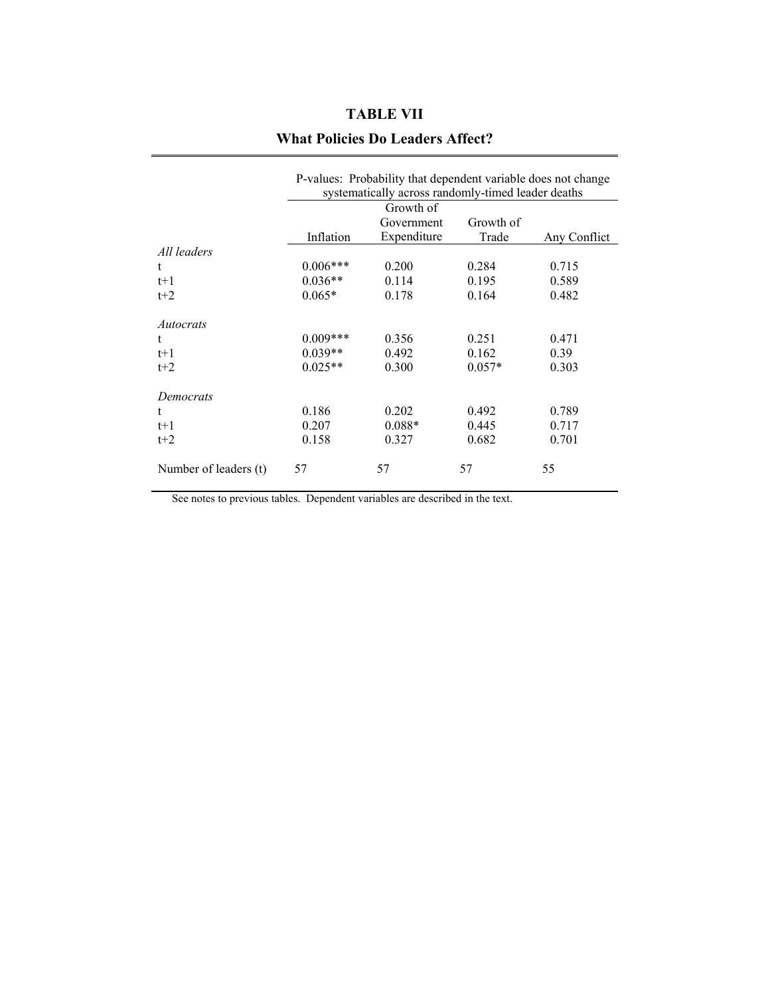## **TABLE VII**

### **What Policies Do Leaders Affect?**

|                       | P-values: Probability that dependent variable does not change<br>systematically across randomly-timed leader deaths |             |          |              |  |  |  |  |
|-----------------------|---------------------------------------------------------------------------------------------------------------------|-------------|----------|--------------|--|--|--|--|
|                       | Growth of<br>Growth of<br>Government                                                                                |             |          |              |  |  |  |  |
|                       | Inflation                                                                                                           | Expenditure | Trade    | Any Conflict |  |  |  |  |
| All leaders           |                                                                                                                     |             |          |              |  |  |  |  |
| t.                    | $0.006***$                                                                                                          | 0.200       | 0.284    | 0.715        |  |  |  |  |
| $t+1$                 | $0.036**$                                                                                                           | 0.114       | 0.195    | 0.589        |  |  |  |  |
| $t+2$                 | $0.065*$                                                                                                            | 0.178       | 0.164    | 0.482        |  |  |  |  |
| Autocrats             |                                                                                                                     |             |          |              |  |  |  |  |
| t                     | $0.009***$                                                                                                          | 0.356       | 0.251    | 0.471        |  |  |  |  |
| $t+1$                 | $0.039**$                                                                                                           | 0.492       | 0.162    | 0.39         |  |  |  |  |
| $t+2$                 | $0.025**$                                                                                                           | 0.300       | $0.057*$ | 0.303        |  |  |  |  |
| Democrats             |                                                                                                                     |             |          |              |  |  |  |  |
| t                     | 0.186                                                                                                               | 0.202       | 0.492    | 0.789        |  |  |  |  |
| $t+1$                 | 0.207                                                                                                               | $0.088*$    | 0.445    | 0.717        |  |  |  |  |
| $t+2$                 | 0.158                                                                                                               | 0.327       | 0.682    | 0.701        |  |  |  |  |
| Number of leaders (t) | 57                                                                                                                  | 57          | 57       | 55           |  |  |  |  |

See notes to previous tables. Dependent variables are described in the text.